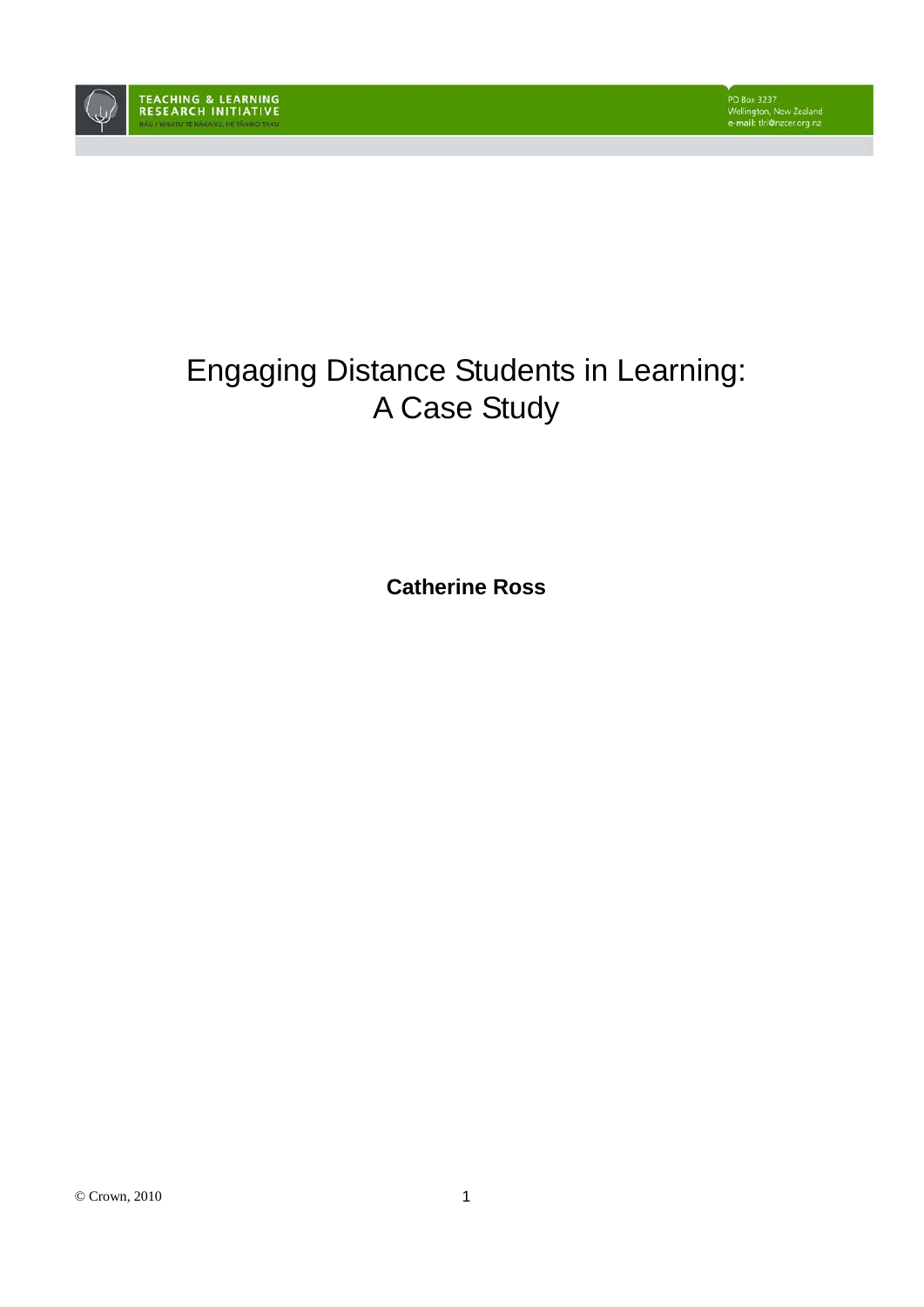

# Engaging Distance Students in Learning: A Case Study

**Catherine Ross**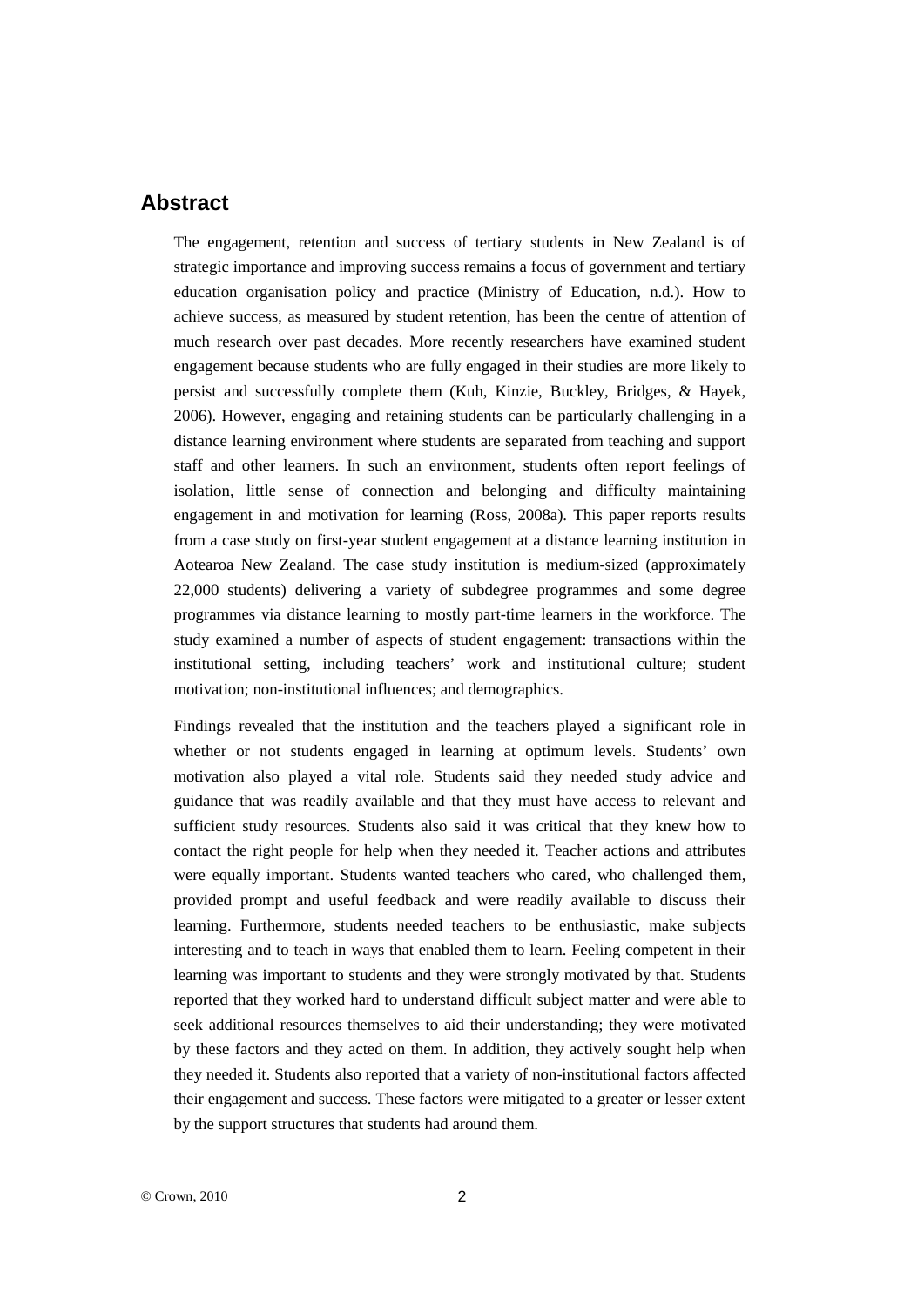# **Abstract**

The engagement, retention and success of tertiary students in New Zealand is of strategic importance and improving success remains a focus of government and tertiary education organisation policy and practice (Ministry of Education, n.d.). How to achieve success, as measured by student retention, has been the centre of attention of much research over past decades. More recently researchers have examined student engagement because students who are fully engaged in their studies are more likely to persist and successfully complete them (Kuh, Kinzie, Buckley, Bridges, & Hayek, 2006). However, engaging and retaining students can be particularly challenging in a distance learning environment where students are separated from teaching and support staff and other learners. In such an environment, students often report feelings of isolation, little sense of connection and belonging and difficulty maintaining engagement in and motivation for learning (Ross, 2008a). This paper reports results from a case study on first-year student engagement at a distance learning institution in Aotearoa New Zealand. The case study institution is medium-sized (approximately 22,000 students) delivering a variety of subdegree programmes and some degree programmes via distance learning to mostly part-time learners in the workforce. The study examined a number of aspects of student engagement: transactions within the institutional setting, including teachers' work and institutional culture; student motivation; non-institutional influences; and demographics.

Findings revealed that the institution and the teachers played a significant role in whether or not students engaged in learning at optimum levels. Students' own motivation also played a vital role. Students said they needed study advice and guidance that was readily available and that they must have access to relevant and sufficient study resources. Students also said it was critical that they knew how to contact the right people for help when they needed it. Teacher actions and attributes were equally important. Students wanted teachers who cared, who challenged them, provided prompt and useful feedback and were readily available to discuss their learning. Furthermore, students needed teachers to be enthusiastic, make subjects interesting and to teach in ways that enabled them to learn. Feeling competent in their learning was important to students and they were strongly motivated by that. Students reported that they worked hard to understand difficult subject matter and were able to seek additional resources themselves to aid their understanding; they were motivated by these factors and they acted on them. In addition, they actively sought help when they needed it. Students also reported that a variety of non-institutional factors affected their engagement and success. These factors were mitigated to a greater or lesser extent by the support structures that students had around them.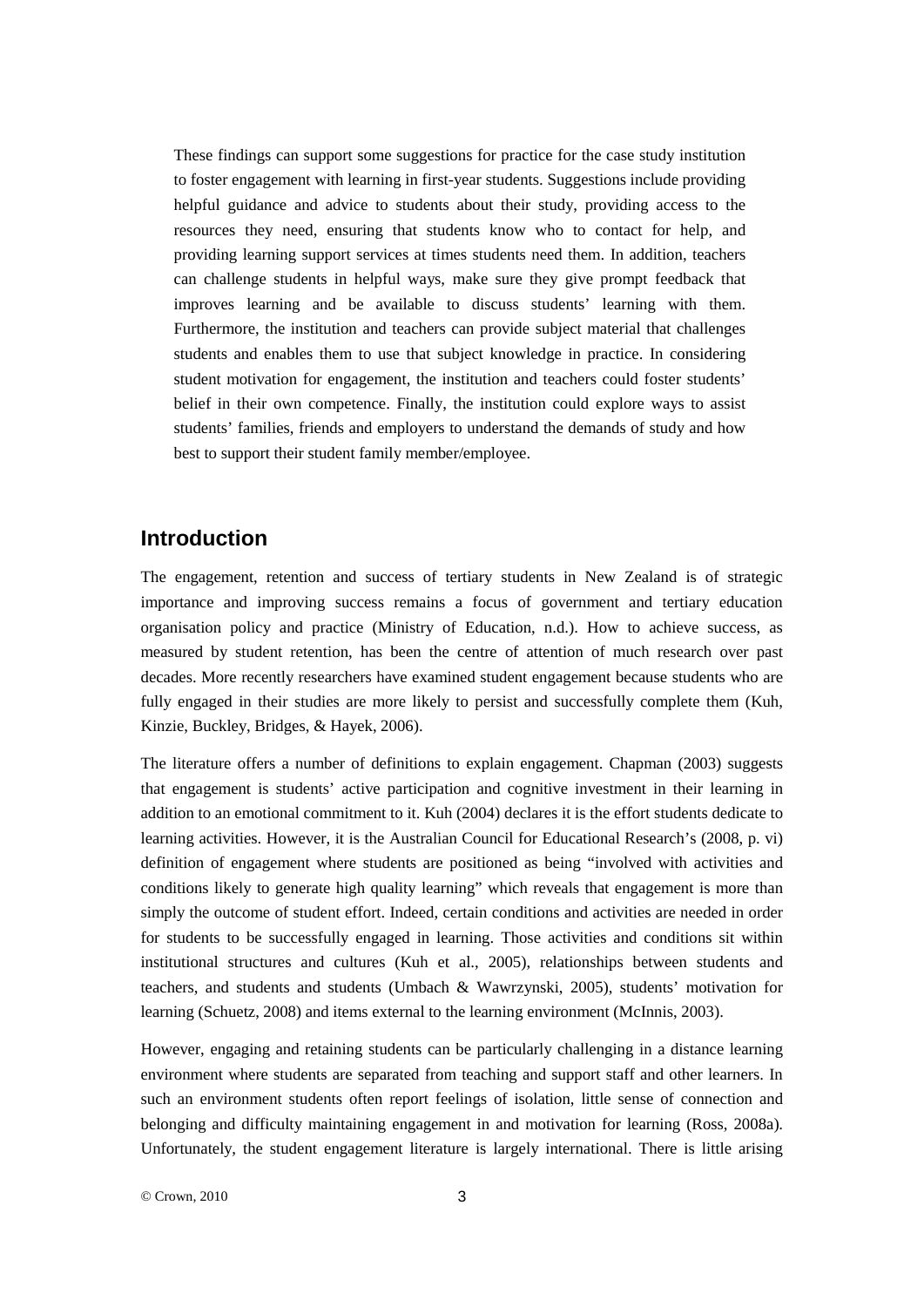These findings can support some suggestions for practice for the case study institution to foster engagement with learning in first-year students. Suggestions include providing helpful guidance and advice to students about their study, providing access to the resources they need, ensuring that students know who to contact for help, and providing learning support services at times students need them. In addition, teachers can challenge students in helpful ways, make sure they give prompt feedback that improves learning and be available to discuss students' learning with them. Furthermore, the institution and teachers can provide subject material that challenges students and enables them to use that subject knowledge in practice. In considering student motivation for engagement, the institution and teachers could foster students' belief in their own competence. Finally, the institution could explore ways to assist students' families, friends and employers to understand the demands of study and how best to support their student family member/employee.

# **Introduction**

The engagement, retention and success of tertiary students in New Zealand is of strategic importance and improving success remains a focus of government and tertiary education organisation policy and practice (Ministry of Education, n.d.). How to achieve success, as measured by student retention, has been the centre of attention of much research over past decades. More recently researchers have examined student engagement because students who are fully engaged in their studies are more likely to persist and successfully complete them (Kuh, Kinzie, Buckley, Bridges, & Hayek, 2006).

The literature offers a number of definitions to explain engagement. Chapman (2003) suggests that engagement is students' active participation and cognitive investment in their learning in addition to an emotional commitment to it. Kuh (2004) declares it is the effort students dedicate to learning activities. However, it is the Australian Council for Educational Research's (2008, p. vi) definition of engagement where students are positioned as being "involved with activities and conditions likely to generate high quality learning" which reveals that engagement is more than simply the outcome of student effort. Indeed, certain conditions and activities are needed in order for students to be successfully engaged in learning. Those activities and conditions sit within institutional structures and cultures (Kuh et al., 2005), relationships between students and teachers, and students and students (Umbach & Wawrzynski, 2005), students' motivation for learning (Schuetz, 2008) and items external to the learning environment (McInnis, 2003).

However, engaging and retaining students can be particularly challenging in a distance learning environment where students are separated from teaching and support staff and other learners. In such an environment students often report feelings of isolation, little sense of connection and belonging and difficulty maintaining engagement in and motivation for learning (Ross, 2008a). Unfortunately, the student engagement literature is largely international. There is little arising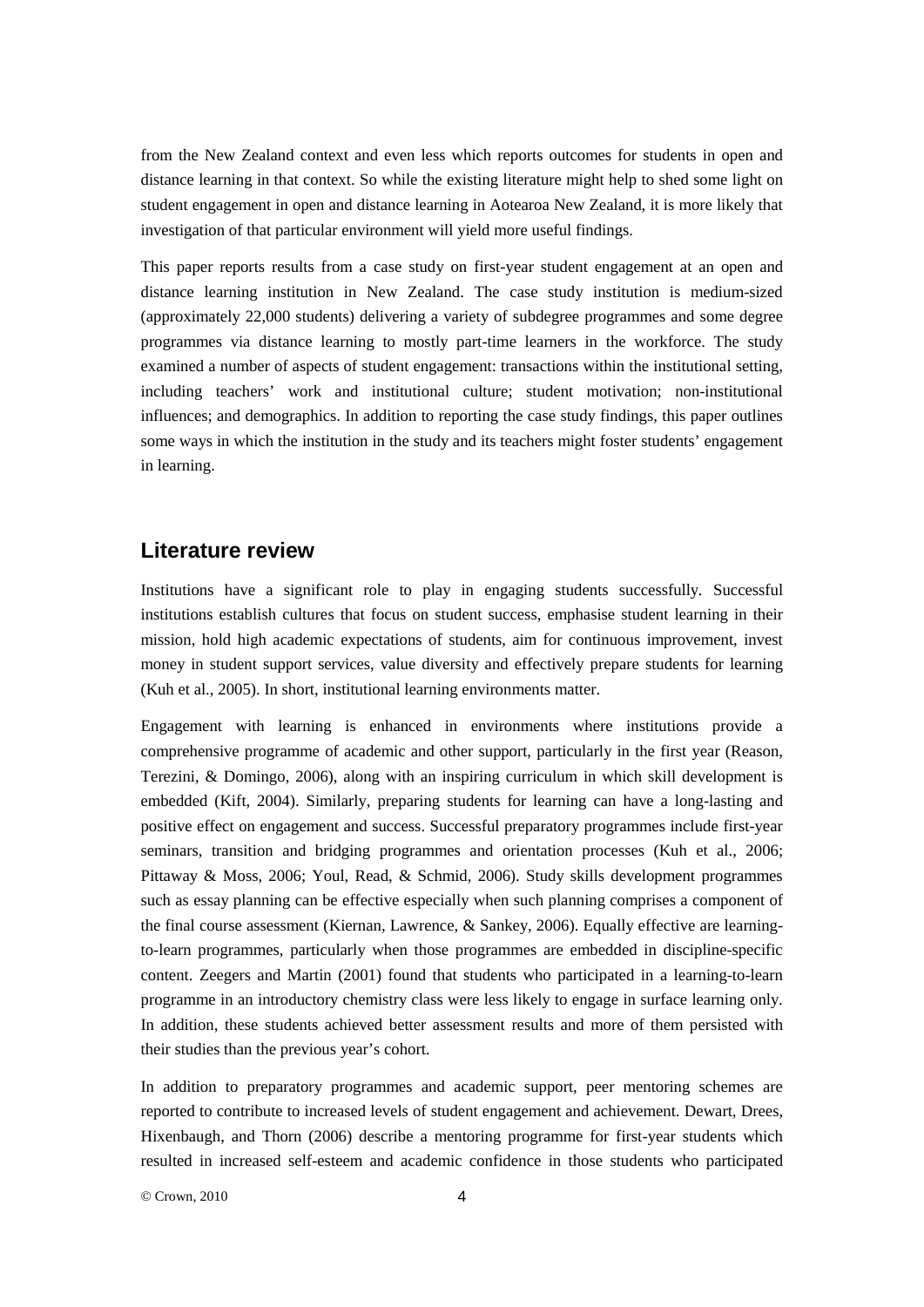from the New Zealand context and even less which reports outcomes for students in open and distance learning in that context. So while the existing literature might help to shed some light on student engagement in open and distance learning in Aotearoa New Zealand, it is more likely that investigation of that particular environment will yield more useful findings.

This paper reports results from a case study on first-year student engagement at an open and distance learning institution in New Zealand. The case study institution is medium-sized (approximately 22,000 students) delivering a variety of subdegree programmes and some degree programmes via distance learning to mostly part-time learners in the workforce. The study examined a number of aspects of student engagement: transactions within the institutional setting, including teachers' work and institutional culture; student motivation; non-institutional influences; and demographics. In addition to reporting the case study findings, this paper outlines some ways in which the institution in the study and its teachers might foster students' engagement in learning.

### **Literature review**

Institutions have a significant role to play in engaging students successfully. Successful institutions establish cultures that focus on student success, emphasise student learning in their mission, hold high academic expectations of students, aim for continuous improvement, invest money in student support services, value diversity and effectively prepare students for learning (Kuh et al., 2005). In short, institutional learning environments matter.

Engagement with learning is enhanced in environments where institutions provide a comprehensive programme of academic and other support, particularly in the first year (Reason, Terezini, & Domingo, 2006), along with an inspiring curriculum in which skill development is embedded (Kift, 2004). Similarly, preparing students for learning can have a long-lasting and positive effect on engagement and success. Successful preparatory programmes include first-year seminars, transition and bridging programmes and orientation processes (Kuh et al., 2006; Pittaway & Moss, 2006; Youl, Read, & Schmid, 2006). Study skills development programmes such as essay planning can be effective especially when such planning comprises a component of the final course assessment (Kiernan, Lawrence, & Sankey, 2006). Equally effective are learningto-learn programmes, particularly when those programmes are embedded in discipline-specific content. Zeegers and Martin (2001) found that students who participated in a learning-to-learn programme in an introductory chemistry class were less likely to engage in surface learning only. In addition, these students achieved better assessment results and more of them persisted with their studies than the previous year's cohort.

In addition to preparatory programmes and academic support, peer mentoring schemes are reported to contribute to increased levels of student engagement and achievement. Dewart, Drees, Hixenbaugh, and Thorn (2006) describe a mentoring programme for first-year students which resulted in increased self-esteem and academic confidence in those students who participated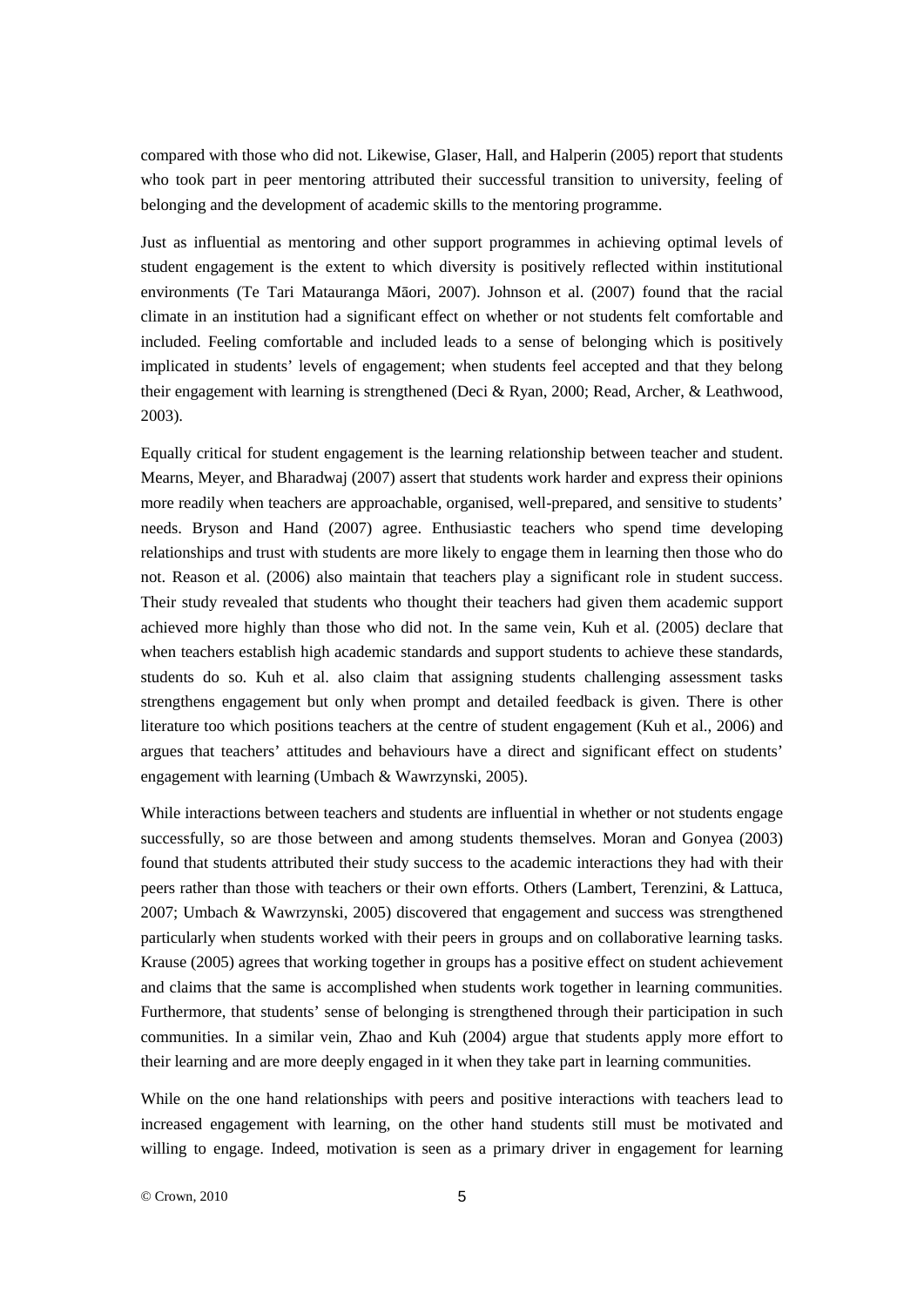compared with those who did not. Likewise, Glaser, Hall, and Halperin (2005) report that students who took part in peer mentoring attributed their successful transition to university, feeling of belonging and the development of academic skills to the mentoring programme.

Just as influential as mentoring and other support programmes in achieving optimal levels of student engagement is the extent to which diversity is positively reflected within institutional environments (Te Tari Matauranga Māori, 2007). Johnson et al. (2007) found that the racial climate in an institution had a significant effect on whether or not students felt comfortable and included. Feeling comfortable and included leads to a sense of belonging which is positively implicated in students' levels of engagement; when students feel accepted and that they belong their engagement with learning is strengthened (Deci & Ryan, 2000; Read, Archer, & Leathwood, 2003).

Equally critical for student engagement is the learning relationship between teacher and student. Mearns, Meyer, and Bharadwaj (2007) assert that students work harder and express their opinions more readily when teachers are approachable, organised, well-prepared, and sensitive to students' needs. Bryson and Hand (2007) agree. Enthusiastic teachers who spend time developing relationships and trust with students are more likely to engage them in learning then those who do not. Reason et al. (2006) also maintain that teachers play a significant role in student success. Their study revealed that students who thought their teachers had given them academic support achieved more highly than those who did not. In the same vein, Kuh et al. (2005) declare that when teachers establish high academic standards and support students to achieve these standards, students do so. Kuh et al. also claim that assigning students challenging assessment tasks strengthens engagement but only when prompt and detailed feedback is given. There is other literature too which positions teachers at the centre of student engagement (Kuh et al., 2006) and argues that teachers' attitudes and behaviours have a direct and significant effect on students' engagement with learning (Umbach & Wawrzynski, 2005).

While interactions between teachers and students are influential in whether or not students engage successfully, so are those between and among students themselves. Moran and Gonyea (2003) found that students attributed their study success to the academic interactions they had with their peers rather than those with teachers or their own efforts. Others (Lambert, Terenzini, & Lattuca, 2007; Umbach & Wawrzynski, 2005) discovered that engagement and success was strengthened particularly when students worked with their peers in groups and on collaborative learning tasks. Krause (2005) agrees that working together in groups has a positive effect on student achievement and claims that the same is accomplished when students work together in learning communities. Furthermore, that students' sense of belonging is strengthened through their participation in such communities. In a similar vein, Zhao and Kuh (2004) argue that students apply more effort to their learning and are more deeply engaged in it when they take part in learning communities.

While on the one hand relationships with peers and positive interactions with teachers lead to increased engagement with learning, on the other hand students still must be motivated and willing to engage. Indeed, motivation is seen as a primary driver in engagement for learning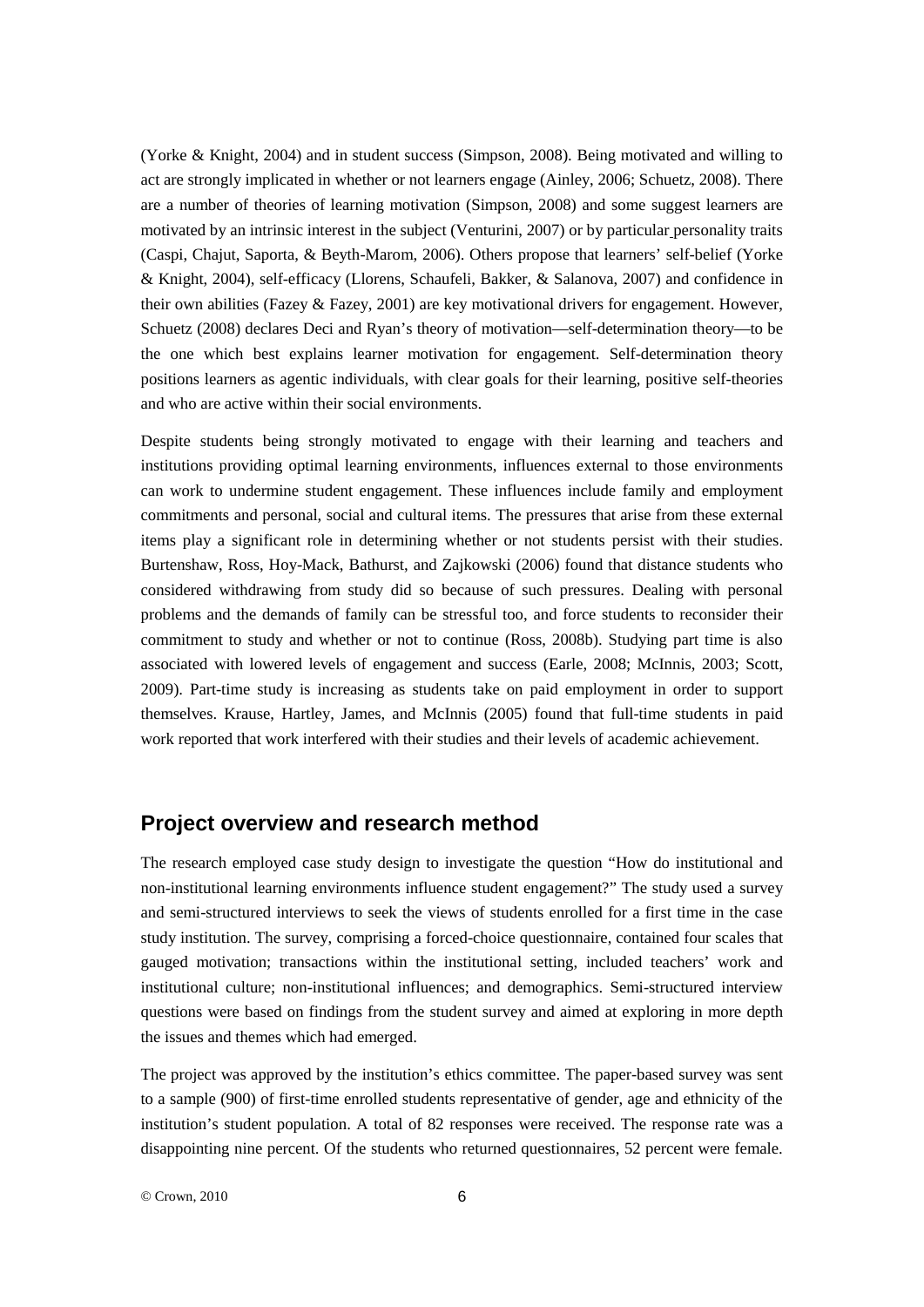(Yorke & Knight, 2004) and in student success (Simpson, 2008). Being motivated and willing to act are strongly implicated in whether or not learners engage (Ainley, 2006; Schuetz, 2008). There are a number of theories of learning motivation (Simpson, 2008) and some suggest learners are motivated by an intrinsic interest in the subject (Venturini, 2007) or by particular personality traits (Caspi, Chajut, Saporta, & Beyth-Marom, 2006). Others propose that learners' self-belief (Yorke & Knight, 2004), self-efficacy (Llorens, Schaufeli, Bakker, & Salanova, 2007) and confidence in their own abilities (Fazey & Fazey, 2001) are key motivational drivers for engagement. However, Schuetz (2008) declares Deci and Ryan's theory of motivation—self-determination theory—to be the one which best explains learner motivation for engagement. Self-determination theory positions learners as agentic individuals, with clear goals for their learning, positive self-theories and who are active within their social environments.

Despite students being strongly motivated to engage with their learning and teachers and institutions providing optimal learning environments, influences external to those environments can work to undermine student engagement. These influences include family and employment commitments and personal, social and cultural items. The pressures that arise from these external items play a significant role in determining whether or not students persist with their studies. Burtenshaw, Ross, Hoy-Mack, Bathurst, and Zajkowski (2006) found that distance students who considered withdrawing from study did so because of such pressures. Dealing with personal problems and the demands of family can be stressful too, and force students to reconsider their commitment to study and whether or not to continue (Ross, 2008b). Studying part time is also associated with lowered levels of engagement and success (Earle, 2008; McInnis, 2003; Scott, 2009). Part-time study is increasing as students take on paid employment in order to support themselves. Krause, Hartley, James, and McInnis (2005) found that full-time students in paid work reported that work interfered with their studies and their levels of academic achievement.

# **Project overview and research method**

The research employed case study design to investigate the question "How do institutional and non-institutional learning environments influence student engagement?" The study used a survey and semi-structured interviews to seek the views of students enrolled for a first time in the case study institution. The survey, comprising a forced-choice questionnaire, contained four scales that gauged motivation; transactions within the institutional setting, included teachers' work and institutional culture; non-institutional influences; and demographics. Semi-structured interview questions were based on findings from the student survey and aimed at exploring in more depth the issues and themes which had emerged.

The project was approved by the institution's ethics committee. The paper-based survey was sent to a sample (900) of first-time enrolled students representative of gender, age and ethnicity of the institution's student population. A total of 82 responses were received. The response rate was a disappointing nine percent. Of the students who returned questionnaires, 52 percent were female.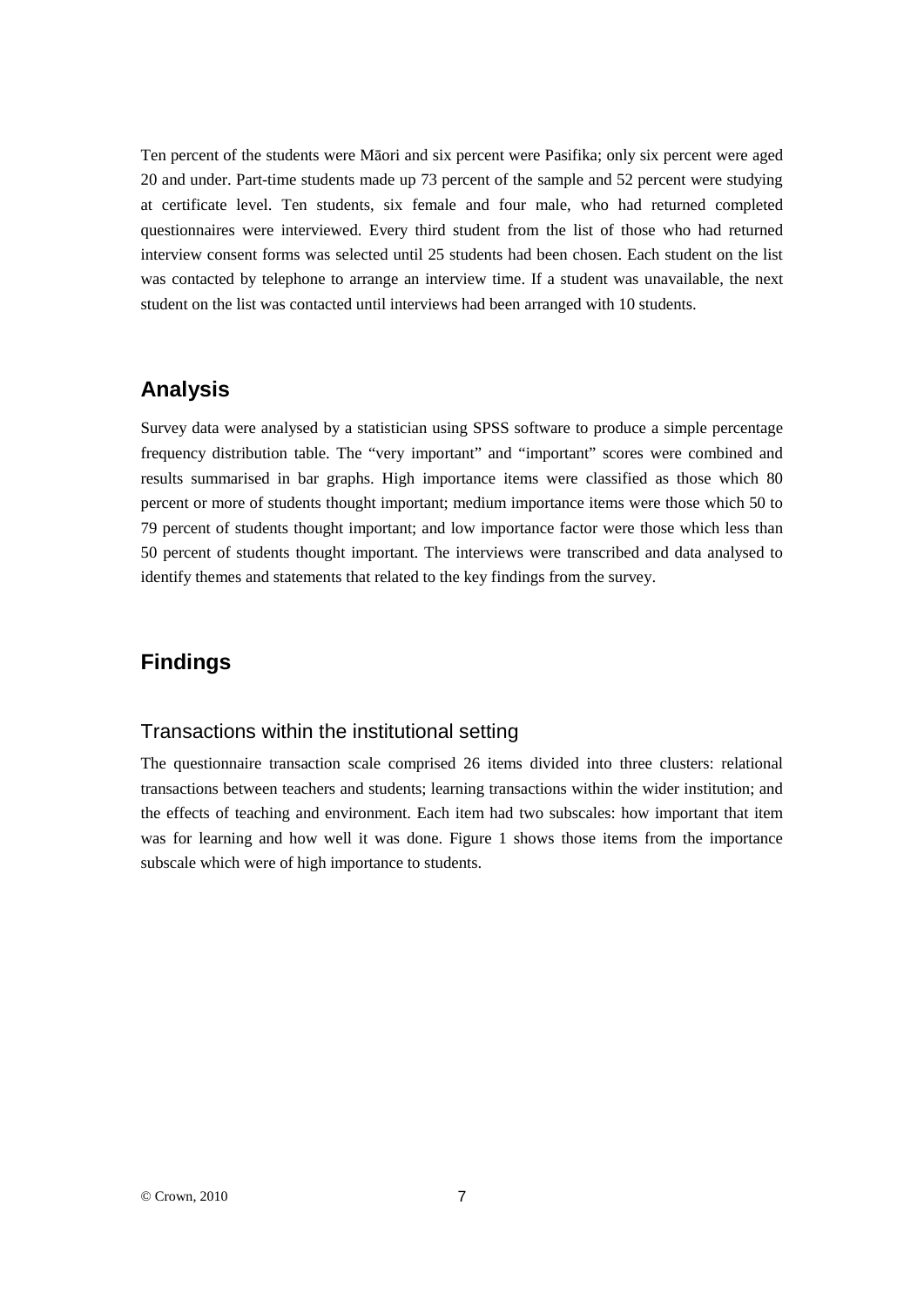Ten percent of the students were Māori and six percent were Pasifika; only six percent were aged 20 and under. Part-time students made up 73 percent of the sample and 52 percent were studying at certificate level. Ten students, six female and four male, who had returned completed questionnaires were interviewed. Every third student from the list of those who had returned interview consent forms was selected until 25 students had been chosen. Each student on the list was contacted by telephone to arrange an interview time. If a student was unavailable, the next student on the list was contacted until interviews had been arranged with 10 students.

# **Analysis**

Survey data were analysed by a statistician using SPSS software to produce a simple percentage frequency distribution table. The "very important" and "important" scores were combined and results summarised in bar graphs. High importance items were classified as those which 80 percent or more of students thought important; medium importance items were those which 50 to 79 percent of students thought important; and low importance factor were those which less than 50 percent of students thought important. The interviews were transcribed and data analysed to identify themes and statements that related to the key findings from the survey.

# **Findings**

### Transactions within the institutional setting

The questionnaire transaction scale comprised 26 items divided into three clusters: relational transactions between teachers and students; learning transactions within the wider institution; and the effects of teaching and environment. Each item had two subscales: how important that item was for learning and how well it was done. Figure 1 shows those items from the importance subscale which were of high importance to students.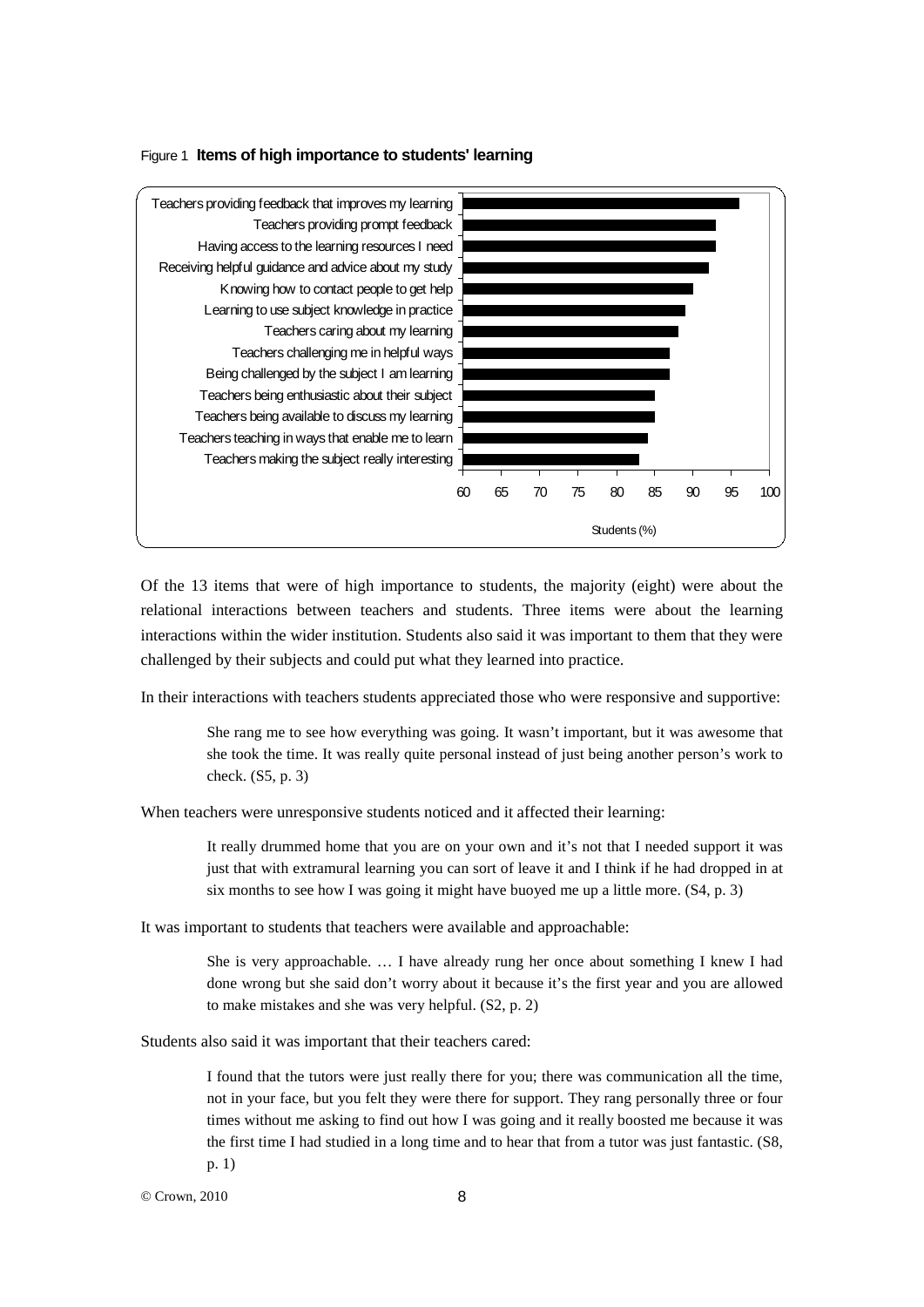

#### Figure 1 **Items of high importance to students' learning**

Of the 13 items that were of high importance to students, the majority (eight) were about the relational interactions between teachers and students. Three items were about the learning interactions within the wider institution. Students also said it was important to them that they were challenged by their subjects and could put what they learned into practice.

In their interactions with teachers students appreciated those who were responsive and supportive:

She rang me to see how everything was going. It wasn't important, but it was awesome that she took the time. It was really quite personal instead of just being another person's work to check. (S5, p. 3)

When teachers were unresponsive students noticed and it affected their learning:

It really drummed home that you are on your own and it's not that I needed support it was just that with extramural learning you can sort of leave it and I think if he had dropped in at six months to see how I was going it might have buoyed me up a little more. (S4, p. 3)

It was important to students that teachers were available and approachable:

She is very approachable. … I have already rung her once about something I knew I had done wrong but she said don't worry about it because it's the first year and you are allowed to make mistakes and she was very helpful. (S2, p. 2)

Students also said it was important that their teachers cared:

I found that the tutors were just really there for you; there was communication all the time, not in your face, but you felt they were there for support. They rang personally three or four times without me asking to find out how I was going and it really boosted me because it was the first time I had studied in a long time and to hear that from a tutor was just fantastic. (S8, p. 1)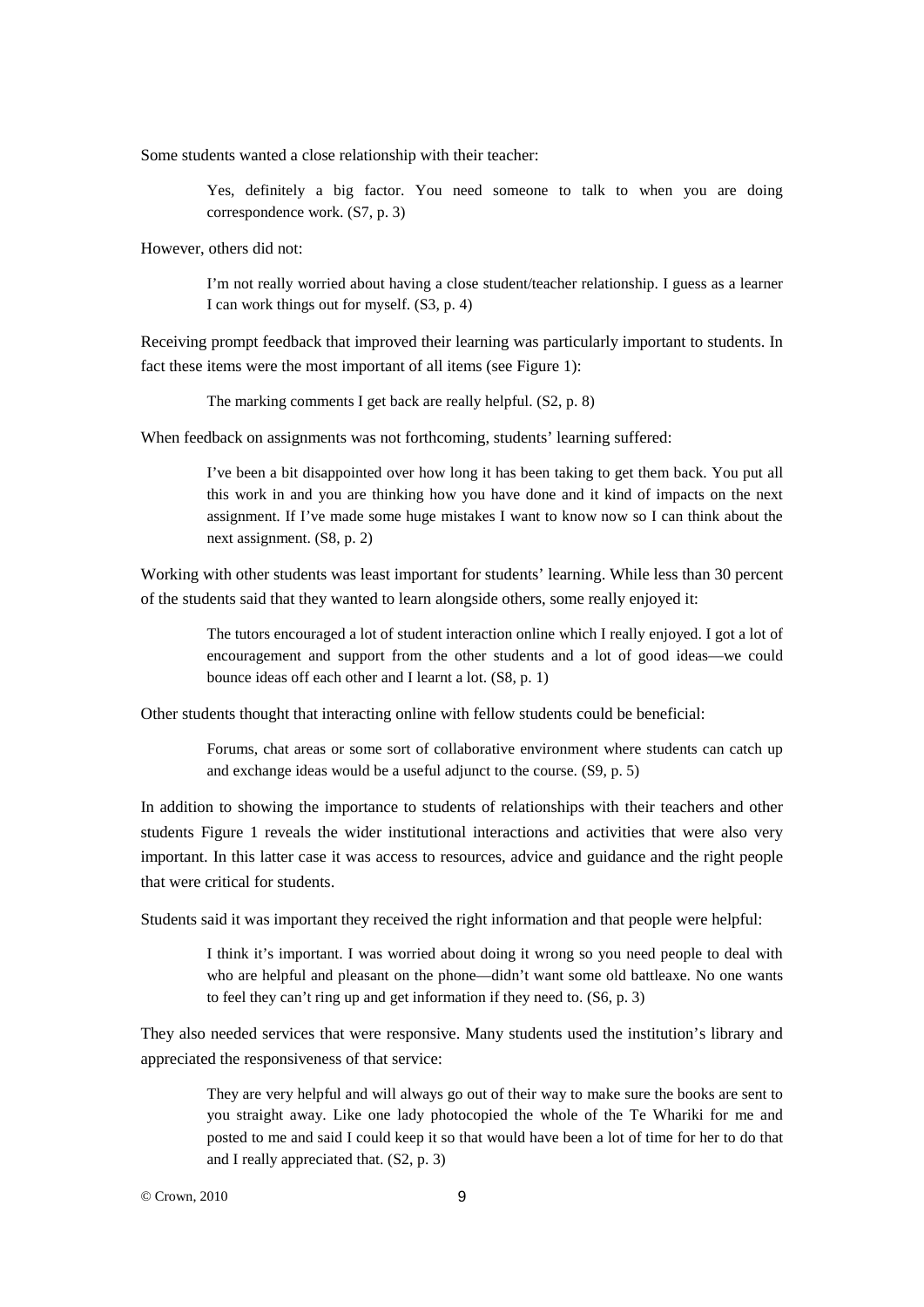Some students wanted a close relationship with their teacher:

Yes, definitely a big factor. You need someone to talk to when you are doing correspondence work. (S7, p. 3)

However, others did not:

I'm not really worried about having a close student/teacher relationship. I guess as a learner I can work things out for myself. (S3, p. 4)

Receiving prompt feedback that improved their learning was particularly important to students. In fact these items were the most important of all items (see Figure 1):

The marking comments I get back are really helpful. (S2, p. 8)

When feedback on assignments was not forthcoming, students' learning suffered:

I've been a bit disappointed over how long it has been taking to get them back. You put all this work in and you are thinking how you have done and it kind of impacts on the next assignment. If I've made some huge mistakes I want to know now so I can think about the next assignment. (S8, p. 2)

Working with other students was least important for students' learning. While less than 30 percent of the students said that they wanted to learn alongside others, some really enjoyed it:

> The tutors encouraged a lot of student interaction online which I really enjoyed. I got a lot of encouragement and support from the other students and a lot of good ideas—we could bounce ideas off each other and I learnt a lot. (S8, p. 1)

Other students thought that interacting online with fellow students could be beneficial:

Forums, chat areas or some sort of collaborative environment where students can catch up and exchange ideas would be a useful adjunct to the course. (S9, p. 5)

In addition to showing the importance to students of relationships with their teachers and other students Figure 1 reveals the wider institutional interactions and activities that were also very important. In this latter case it was access to resources, advice and guidance and the right people that were critical for students.

Students said it was important they received the right information and that people were helpful:

I think it's important. I was worried about doing it wrong so you need people to deal with who are helpful and pleasant on the phone—didn't want some old battleaxe. No one wants to feel they can't ring up and get information if they need to. (S6, p. 3)

They also needed services that were responsive. Many students used the institution's library and appreciated the responsiveness of that service:

> They are very helpful and will always go out of their way to make sure the books are sent to you straight away. Like one lady photocopied the whole of the Te Whariki for me and posted to me and said I could keep it so that would have been a lot of time for her to do that and I really appreciated that. (S2, p. 3)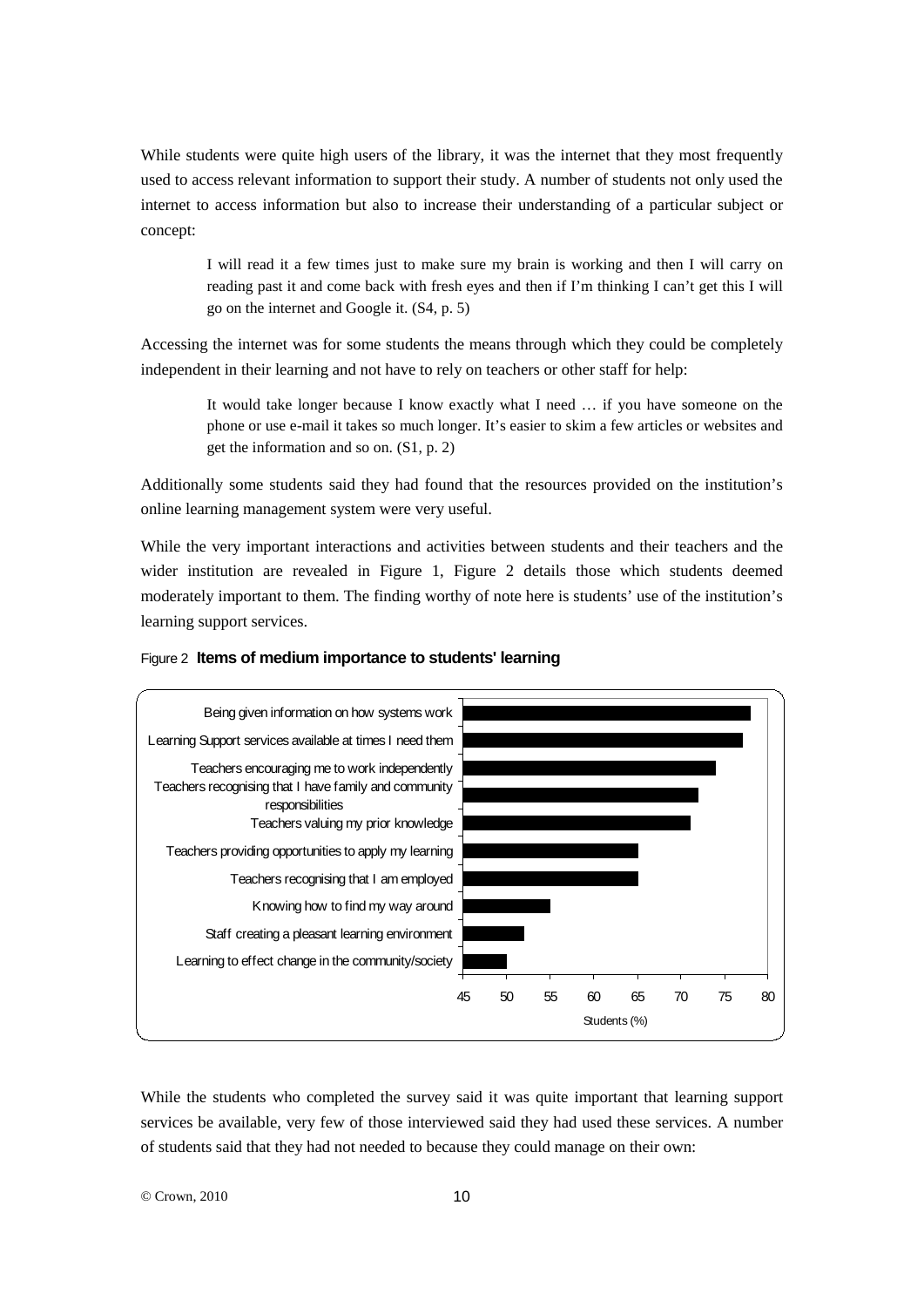While students were quite high users of the library, it was the internet that they most frequently used to access relevant information to support their study. A number of students not only used the internet to access information but also to increase their understanding of a particular subject or concept:

> I will read it a few times just to make sure my brain is working and then I will carry on reading past it and come back with fresh eyes and then if I'm thinking I can't get this I will go on the internet and Google it. (S4, p. 5)

Accessing the internet was for some students the means through which they could be completely independent in their learning and not have to rely on teachers or other staff for help:

> It would take longer because I know exactly what I need … if you have someone on the phone or use e-mail it takes so much longer. It's easier to skim a few articles or websites and get the information and so on. (S1, p. 2)

Additionally some students said they had found that the resources provided on the institution's online learning management system were very useful.

While the very important interactions and activities between students and their teachers and the wider institution are revealed in Figure 1, Figure 2 details those which students deemed moderately important to them. The finding worthy of note here is students' use of the institution's learning support services.



#### Figure 2 **Items of medium importance to students' learning**

While the students who completed the survey said it was quite important that learning support services be available, very few of those interviewed said they had used these services. A number of students said that they had not needed to because they could manage on their own: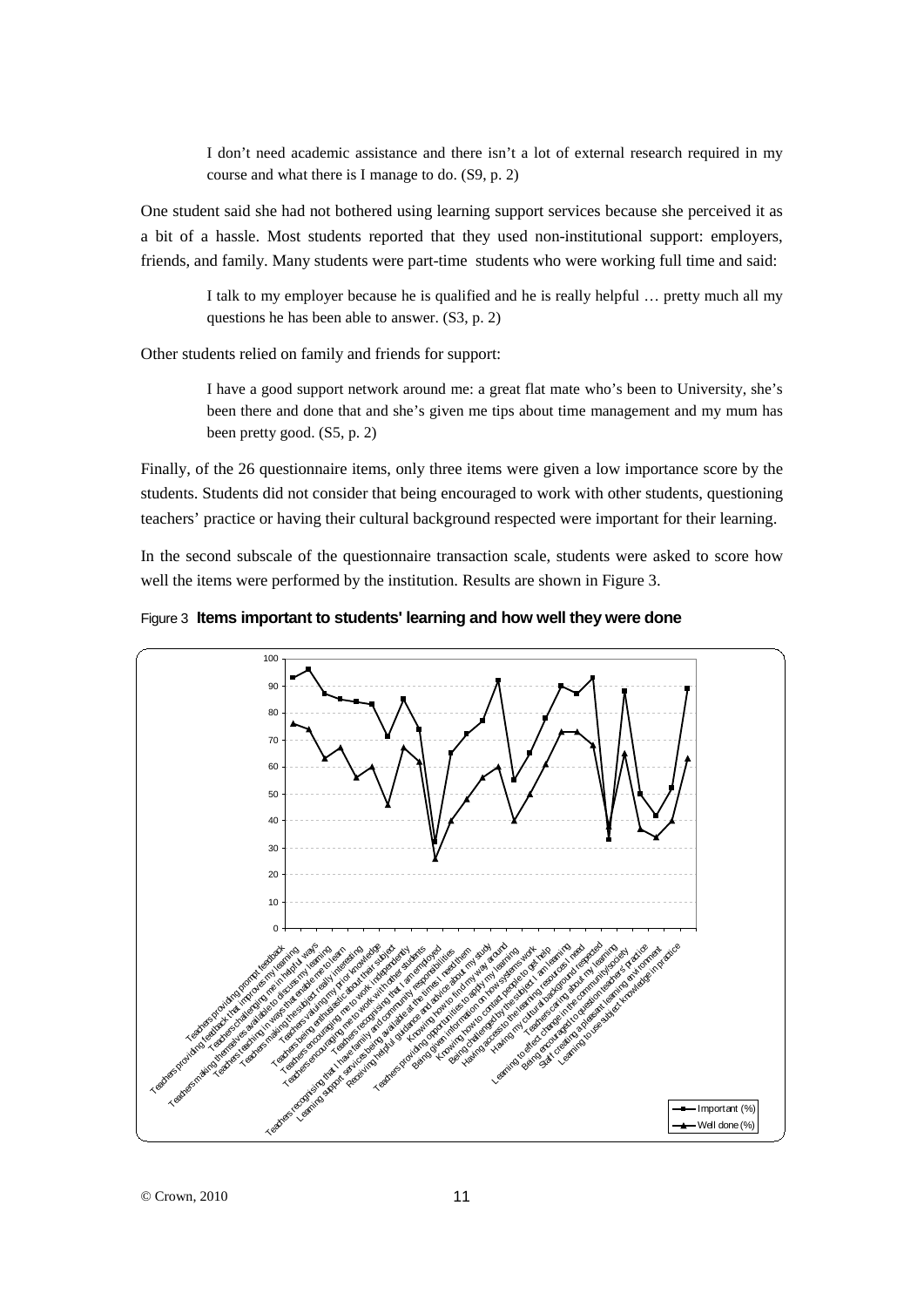I don't need academic assistance and there isn't a lot of external research required in my course and what there is I manage to do. (S9, p. 2)

One student said she had not bothered using learning support services because she perceived it as a bit of a hassle. Most students reported that they used non-institutional support: employers, friends, and family. Many students were part-time students who were working full time and said:

> I talk to my employer because he is qualified and he is really helpful … pretty much all my questions he has been able to answer. (S3, p. 2)

Other students relied on family and friends for support:

I have a good support network around me: a great flat mate who's been to University, she's been there and done that and she's given me tips about time management and my mum has been pretty good. (S5, p. 2)

Finally, of the 26 questionnaire items, only three items were given a low importance score by the students. Students did not consider that being encouraged to work with other students, questioning teachers' practice or having their cultural background respected were important for their learning.

In the second subscale of the questionnaire transaction scale, students were asked to score how well the items were performed by the institution. Results are shown in Figure 3.



Figure 3 **Items important to students' learning and how well they were done**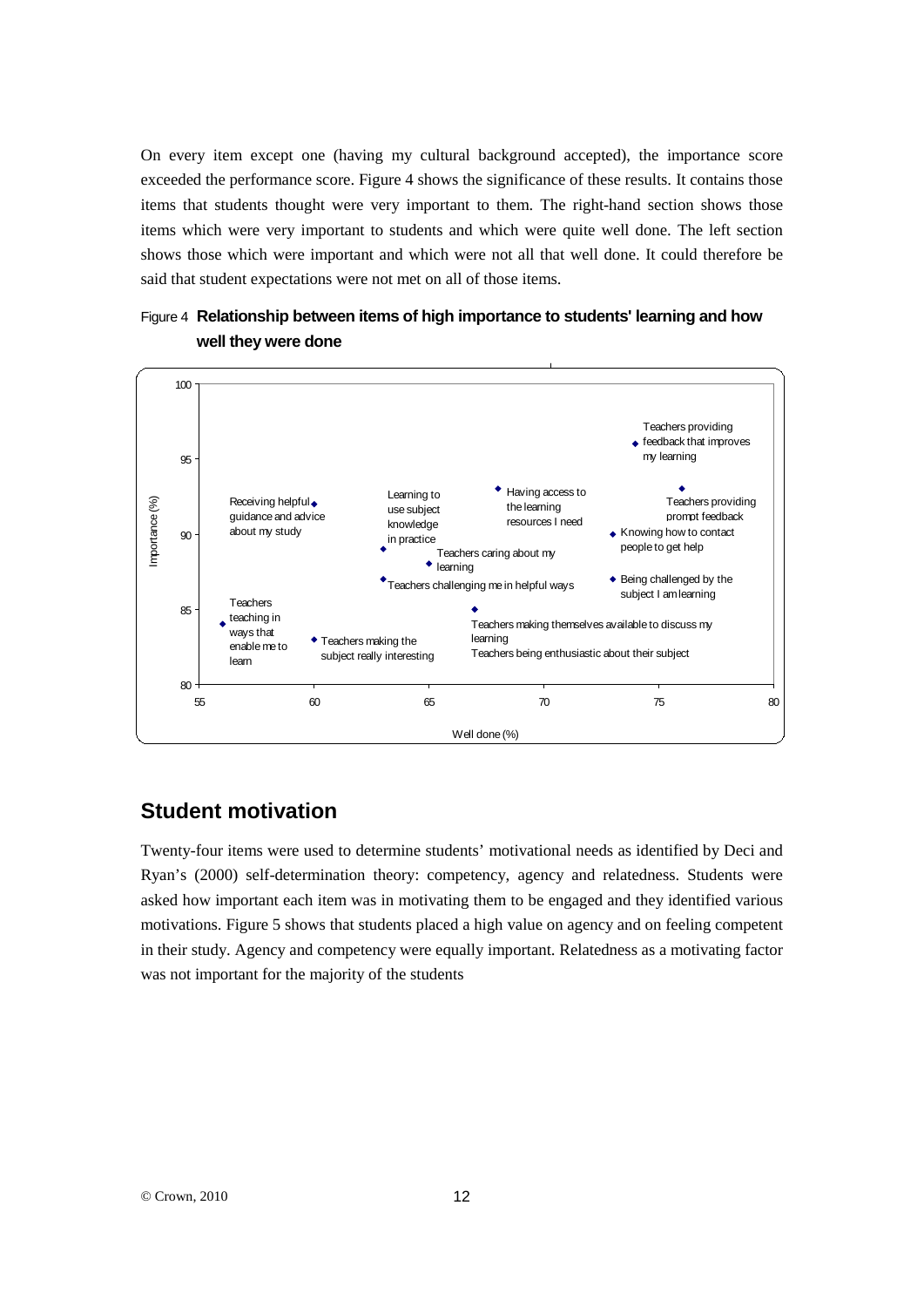On every item except one (having my cultural background accepted), the importance score exceeded the performance score. Figure 4 shows the significance of these results. It contains those items that students thought were very important to them. The right-hand section shows those items which were very important to students and which were quite well done. The left section shows those which were important and which were not all that well done. It could therefore be said that student expectations were not met on all of those items.



### Figure 4 **Relationship between items of high importance to students' learning and how well they were done**

# **Student motivation**

Twenty-four items were used to determine students' motivational needs as identified by Deci and Ryan's (2000) self-determination theory: competency, agency and relatedness. Students were asked how important each item was in motivating them to be engaged and they identified various motivations. Figure 5 shows that students placed a high value on agency and on feeling competent in their study. Agency and competency were equally important. Relatedness as a motivating factor was not important for the majority of the students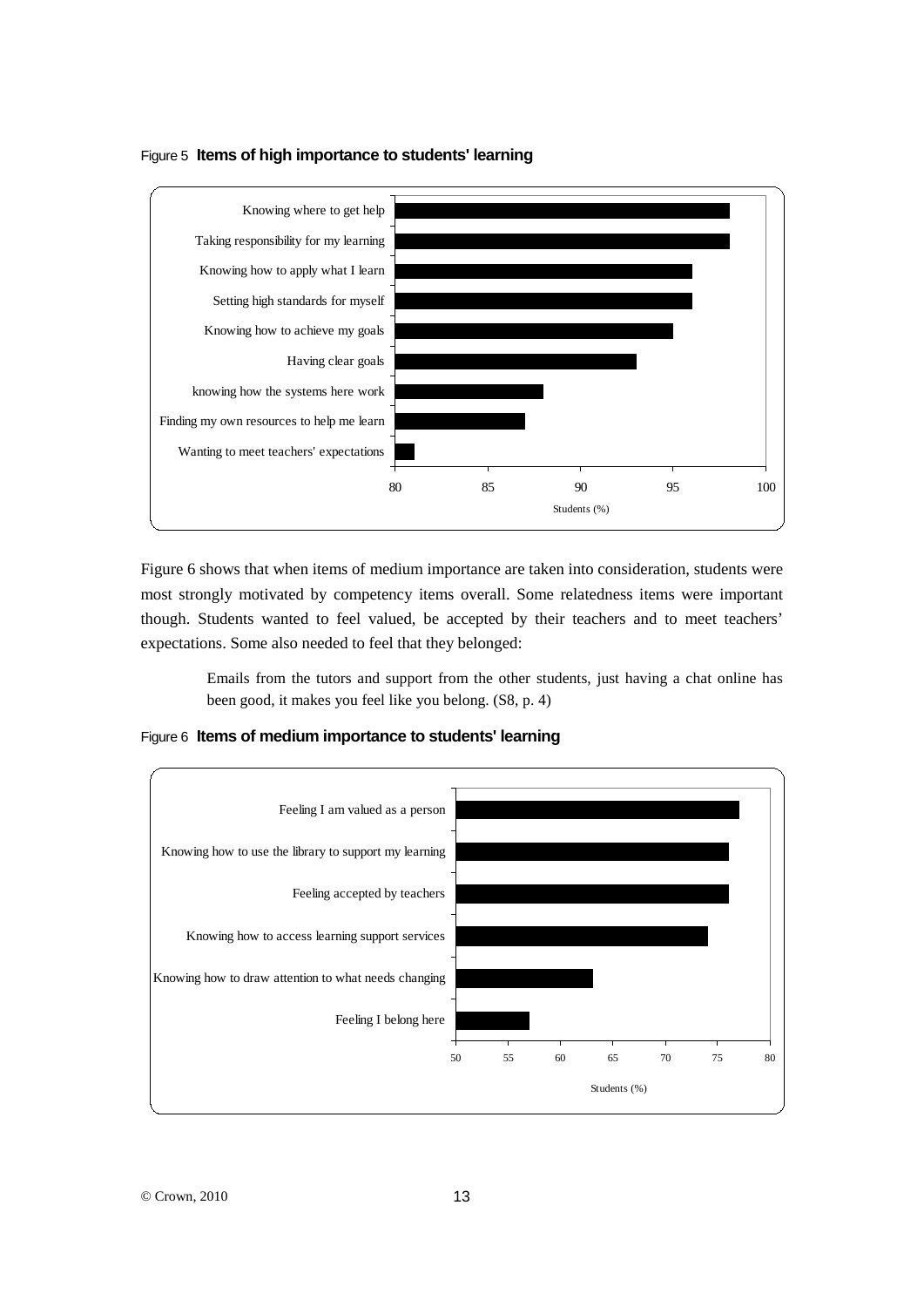

### Figure 5 **Items of high importance to students' learning**

Figure 6 shows that when items of medium importance are taken into consideration, students were most strongly motivated by competency items overall. Some relatedness items were important though. Students wanted to feel valued, be accepted by their teachers and to meet teachers' expectations. Some also needed to feel that they belonged:

> Emails from the tutors and support from the other students, just having a chat online has been good, it makes you feel like you belong. (S8, p. 4)

Students (%)

Figure 6 **Items of medium importance to students' learning**

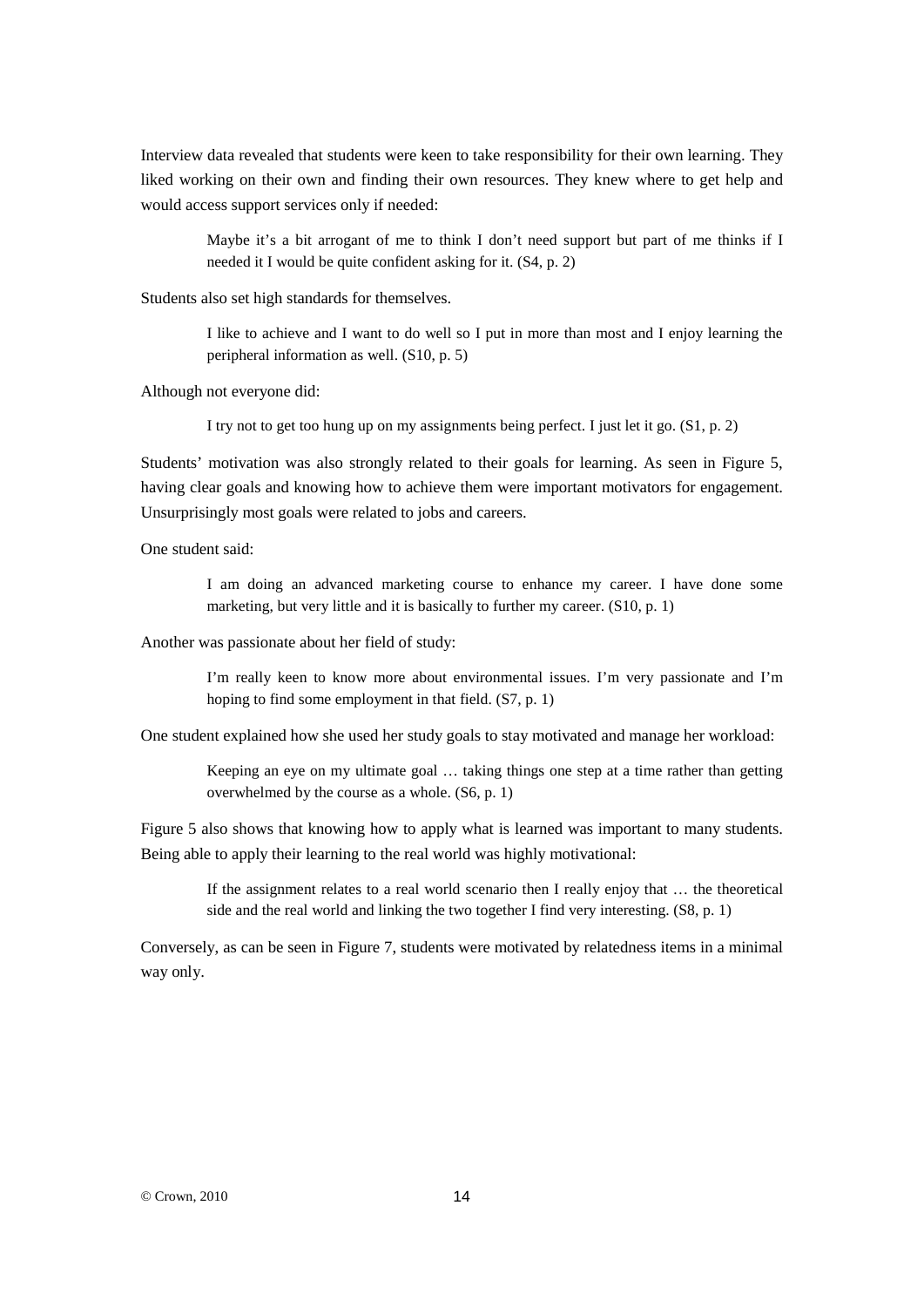Interview data revealed that students were keen to take responsibility for their own learning. They liked working on their own and finding their own resources. They knew where to get help and would access support services only if needed:

> Maybe it's a bit arrogant of me to think I don't need support but part of me thinks if I needed it I would be quite confident asking for it. (S4, p. 2)

Students also set high standards for themselves.

I like to achieve and I want to do well so I put in more than most and I enjoy learning the peripheral information as well. (S10, p. 5)

Although not everyone did:

I try not to get too hung up on my assignments being perfect. I just let it go. (S1, p. 2)

Students' motivation was also strongly related to their goals for learning. As seen in Figure 5, having clear goals and knowing how to achieve them were important motivators for engagement. Unsurprisingly most goals were related to jobs and careers.

One student said:

I am doing an advanced marketing course to enhance my career. I have done some marketing, but very little and it is basically to further my career. (S10, p. 1)

Another was passionate about her field of study:

I'm really keen to know more about environmental issues. I'm very passionate and I'm hoping to find some employment in that field. (S7, p. 1)

One student explained how she used her study goals to stay motivated and manage her workload:

Keeping an eye on my ultimate goal … taking things one step at a time rather than getting overwhelmed by the course as a whole. (S6, p. 1)

Figure 5 also shows that knowing how to apply what is learned was important to many students. Being able to apply their learning to the real world was highly motivational:

> If the assignment relates to a real world scenario then I really enjoy that … the theoretical side and the real world and linking the two together I find very interesting. (S8, p. 1)

Conversely, as can be seen in Figure 7, students were motivated by relatedness items in a minimal way only.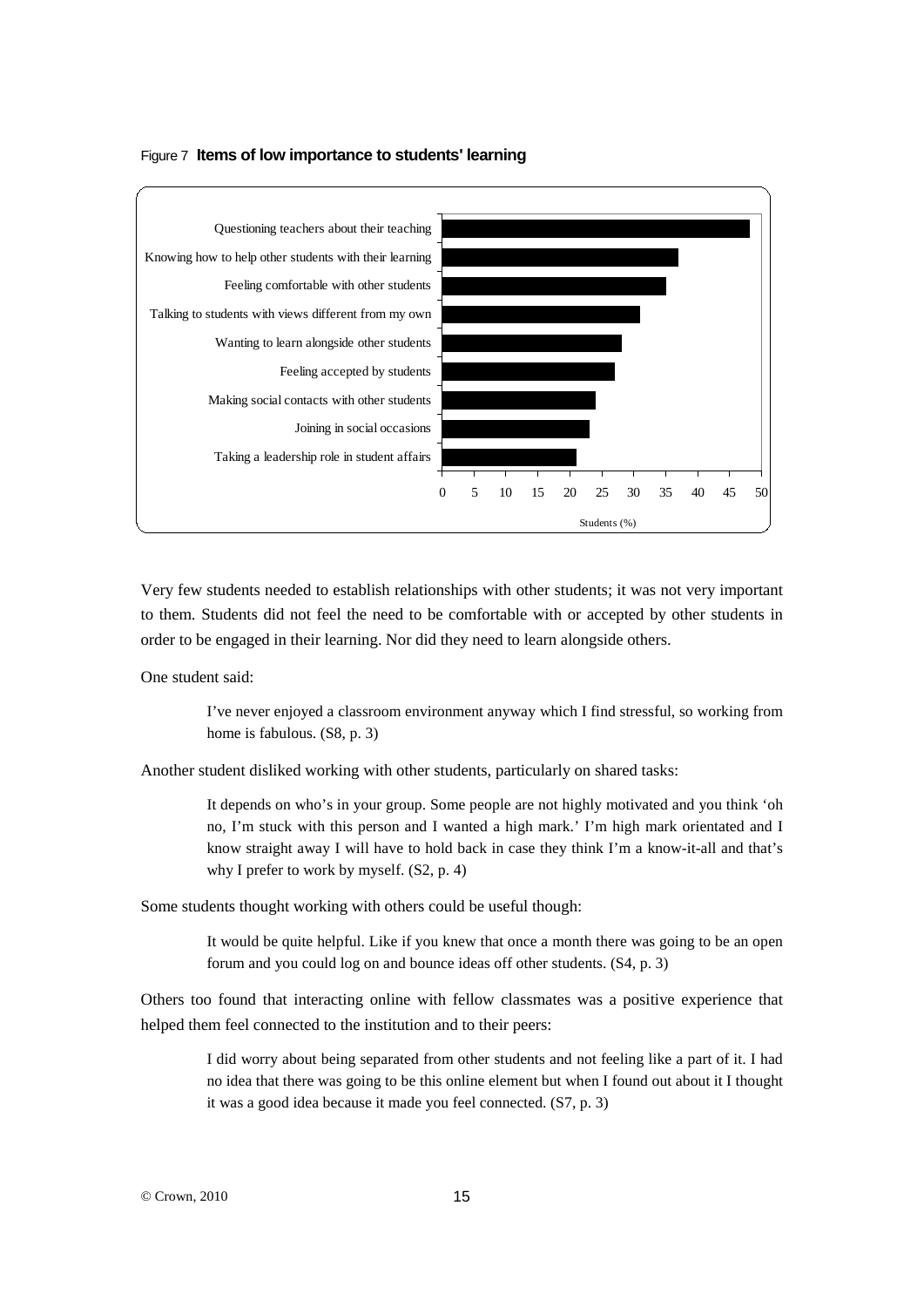



Very few students needed to establish relationships with other students; it was not very important to them. Students did not feel the need to be comfortable with or accepted by other students in order to be engaged in their learning. Nor did they need to learn alongside others.

One student said:

I've never enjoyed a classroom environment anyway which I find stressful, so working from home is fabulous. (S8, p. 3)

Another student disliked working with other students, particularly on shared tasks:

It depends on who's in your group. Some people are not highly motivated and you think 'oh no, I'm stuck with this person and I wanted a high mark.' I'm high mark orientated and I know straight away I will have to hold back in case they think I'm a know-it-all and that's why I prefer to work by myself. (S2, p. 4)

Some students thought working with others could be useful though:

It would be quite helpful. Like if you knew that once a month there was going to be an open forum and you could log on and bounce ideas off other students. (S4, p. 3)

Others too found that interacting online with fellow classmates was a positive experience that helped them feel connected to the institution and to their peers:

> I did worry about being separated from other students and not feeling like a part of it. I had no idea that there was going to be this online element but when I found out about it I thought it was a good idea because it made you feel connected. (S7, p. 3)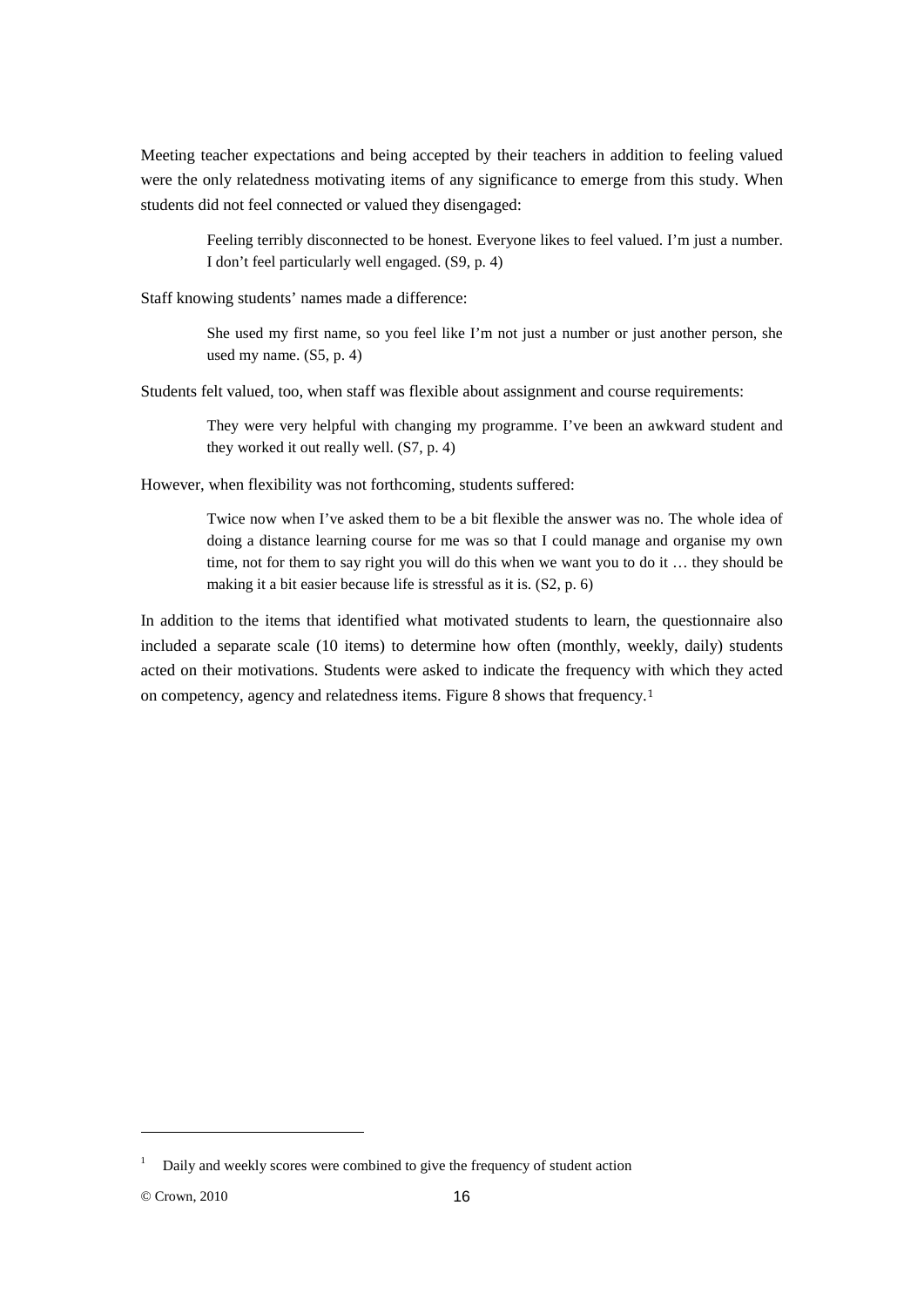Meeting teacher expectations and being accepted by their teachers in addition to feeling valued were the only relatedness motivating items of any significance to emerge from this study. When students did not feel connected or valued they disengaged:

> Feeling terribly disconnected to be honest. Everyone likes to feel valued. I'm just a number. I don't feel particularly well engaged. (S9, p. 4)

Staff knowing students' names made a difference:

She used my first name, so you feel like I'm not just a number or just another person, she used my name. (S5, p. 4)

Students felt valued, too, when staff was flexible about assignment and course requirements:

They were very helpful with changing my programme. I've been an awkward student and they worked it out really well. (S7, p. 4)

However, when flexibility was not forthcoming, students suffered:

Twice now when I've asked them to be a bit flexible the answer was no. The whole idea of doing a distance learning course for me was so that I could manage and organise my own time, not for them to say right you will do this when we want you to do it … they should be making it a bit easier because life is stressful as it is. (S2, p. 6)

In addition to the items that identified what motivated students to learn, the questionnaire also included a separate scale (10 items) to determine how often (monthly, weekly, daily) students acted on their motivations. Students were asked to indicate the frequency with which they acted on competency, agency and relatedness items. Figure 8 shows that frequency.[1](#page-15-0)

-

<span id="page-15-0"></span><sup>1</sup> Daily and weekly scores were combined to give the frequency of student action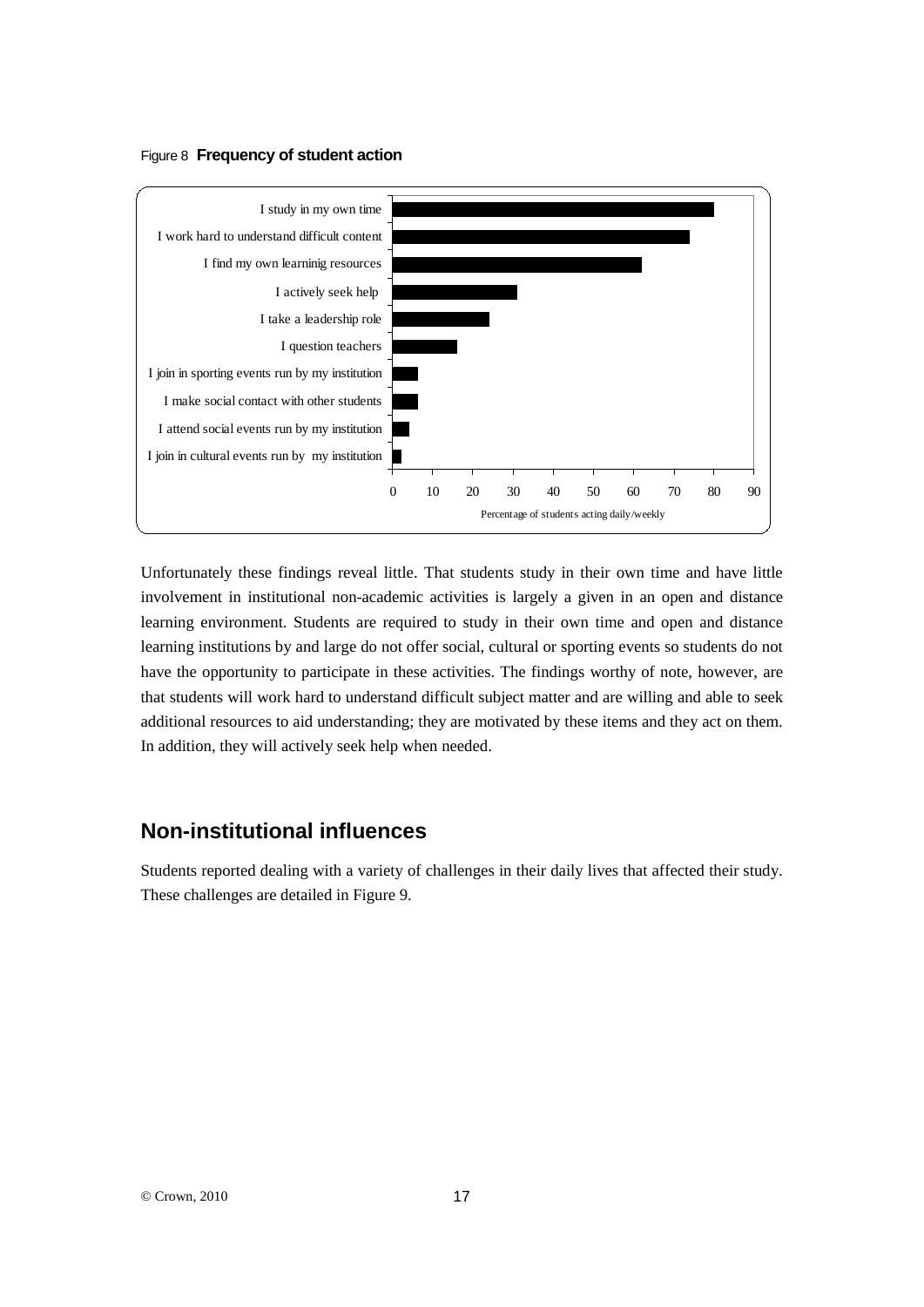### Figure 8 **Frequency of student action**



Unfortunately these findings reveal little. That students study in their own time and have little involvement in institutional non-academic activities is largely a given in an open and distance learning environment. Students are required to study in their own time and open and distance learning institutions by and large do not offer social, cultural or sporting events so students do not have the opportunity to participate in these activities. The findings worthy of note, however, are that students will work hard to understand difficult subject matter and are willing and able to seek additional resources to aid understanding; they are motivated by these items and they act on them. In addition, they will actively seek help when needed.

# **Non-institutional influences**

Students reported dealing with a variety of challenges in their daily lives that affected their study. These challenges are detailed in Figure 9.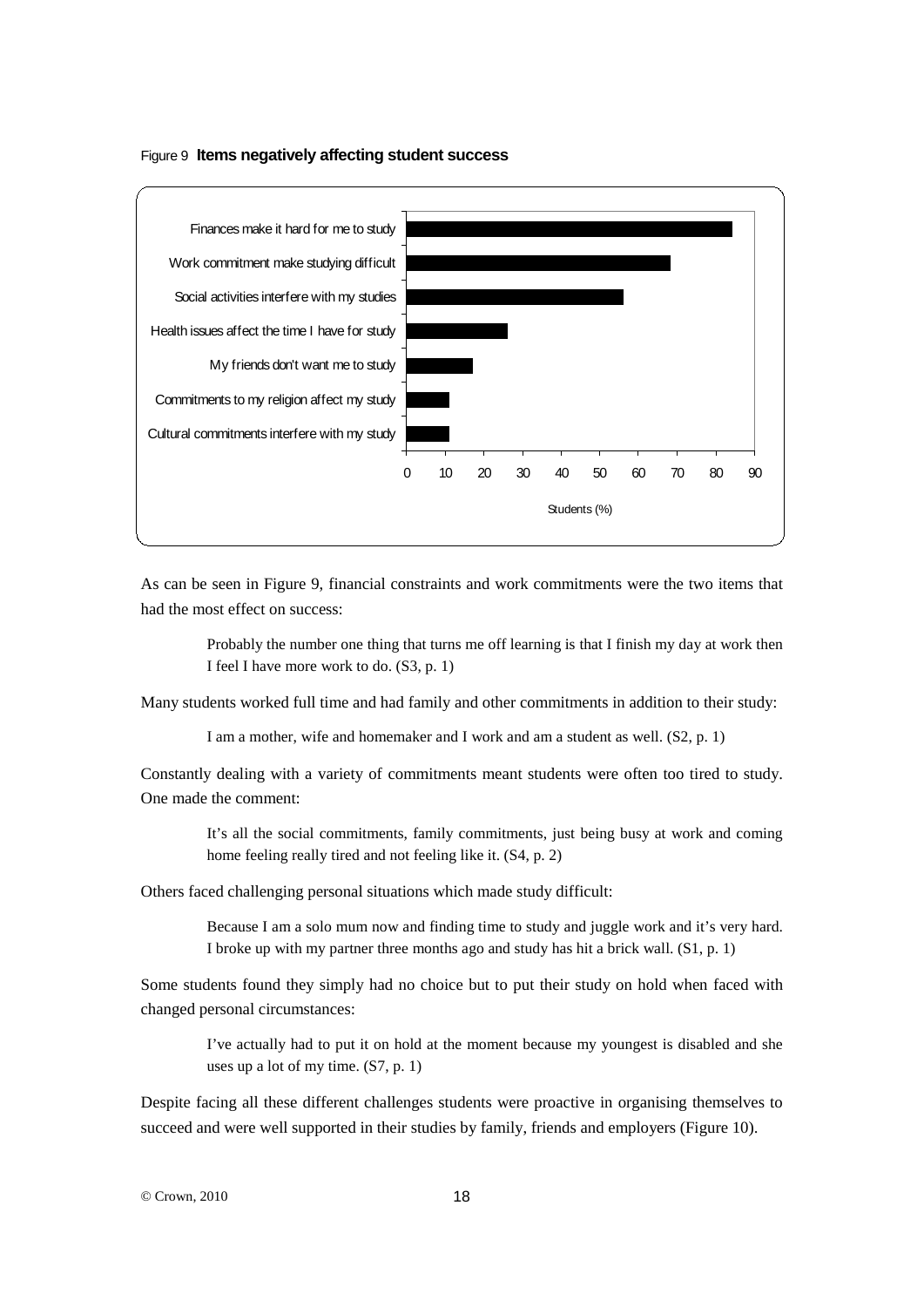#### Figure 9 **Items negatively affecting student success**



As can be seen in Figure 9, financial constraints and work commitments were the two items that had the most effect on success:

> Probably the number one thing that turns me off learning is that I finish my day at work then I feel I have more work to do. (S3, p. 1)

Many students worked full time and had family and other commitments in addition to their study:

I am a mother, wife and homemaker and I work and am a student as well. (S2, p. 1)

Constantly dealing with a variety of commitments meant students were often too tired to study. One made the comment:

> It's all the social commitments, family commitments, just being busy at work and coming home feeling really tired and not feeling like it. (S4, p. 2)

Others faced challenging personal situations which made study difficult:

Because I am a solo mum now and finding time to study and juggle work and it's very hard. I broke up with my partner three months ago and study has hit a brick wall. (S1, p. 1)

Some students found they simply had no choice but to put their study on hold when faced with changed personal circumstances:

> I've actually had to put it on hold at the moment because my youngest is disabled and she uses up a lot of my time. (S7, p. 1)

Despite facing all these different challenges students were proactive in organising themselves to succeed and were well supported in their studies by family, friends and employers (Figure 10).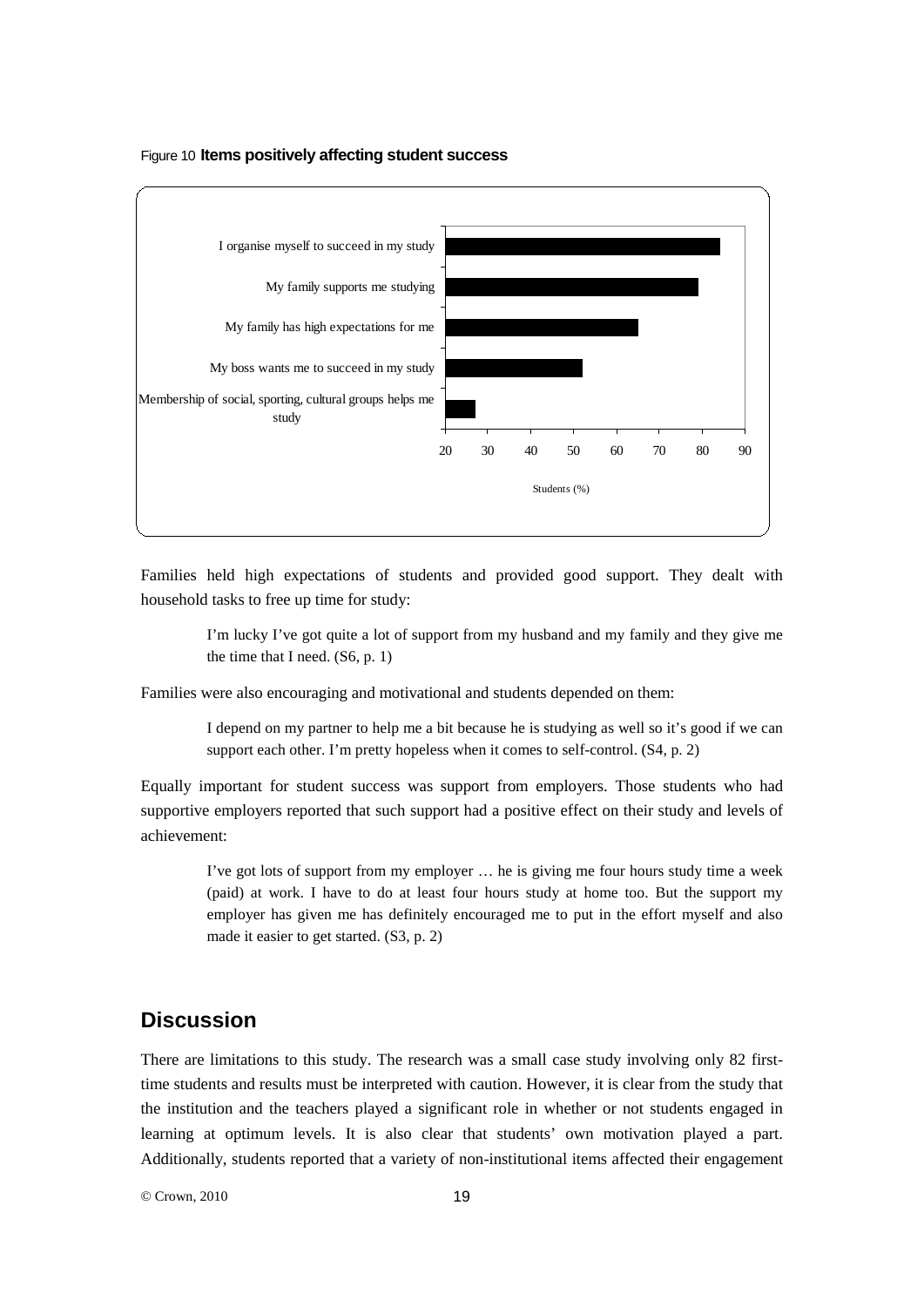



Families held high expectations of students and provided good support. They dealt with household tasks to free up time for study:

> I'm lucky I've got quite a lot of support from my husband and my family and they give me the time that I need. (S6, p. 1)

Families were also encouraging and motivational and students depended on them:

I depend on my partner to help me a bit because he is studying as well so it's good if we can support each other. I'm pretty hopeless when it comes to self-control. (S4, p. 2)

Equally important for student success was support from employers. Those students who had supportive employers reported that such support had a positive effect on their study and levels of achievement:

> I've got lots of support from my employer … he is giving me four hours study time a week (paid) at work. I have to do at least four hours study at home too. But the support my employer has given me has definitely encouraged me to put in the effort myself and also made it easier to get started. (S3, p. 2)

# **Discussion**

There are limitations to this study. The research was a small case study involving only 82 firsttime students and results must be interpreted with caution. However, it is clear from the study that the institution and the teachers played a significant role in whether or not students engaged in learning at optimum levels. It is also clear that students' own motivation played a part. Additionally, students reported that a variety of non-institutional items affected their engagement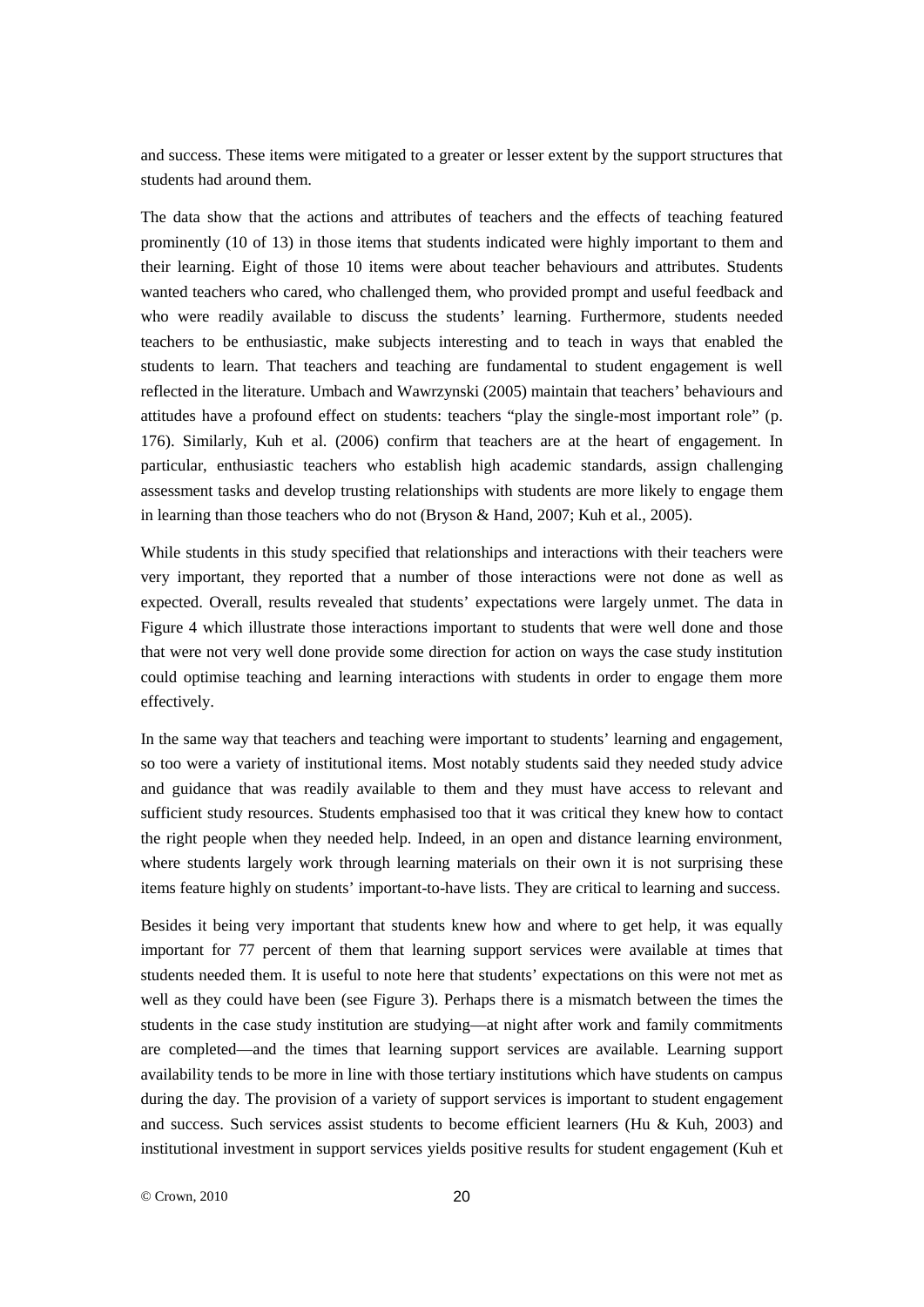and success. These items were mitigated to a greater or lesser extent by the support structures that students had around them.

The data show that the actions and attributes of teachers and the effects of teaching featured prominently (10 of 13) in those items that students indicated were highly important to them and their learning. Eight of those 10 items were about teacher behaviours and attributes. Students wanted teachers who cared, who challenged them, who provided prompt and useful feedback and who were readily available to discuss the students' learning. Furthermore, students needed teachers to be enthusiastic, make subjects interesting and to teach in ways that enabled the students to learn. That teachers and teaching are fundamental to student engagement is well reflected in the literature. Umbach and Wawrzynski (2005) maintain that teachers' behaviours and attitudes have a profound effect on students: teachers "play the single-most important role" (p. 176). Similarly, Kuh et al. (2006) confirm that teachers are at the heart of engagement. In particular, enthusiastic teachers who establish high academic standards, assign challenging assessment tasks and develop trusting relationships with students are more likely to engage them in learning than those teachers who do not (Bryson & Hand, 2007; Kuh et al., 2005).

While students in this study specified that relationships and interactions with their teachers were very important, they reported that a number of those interactions were not done as well as expected. Overall, results revealed that students' expectations were largely unmet. The data in Figure 4 which illustrate those interactions important to students that were well done and those that were not very well done provide some direction for action on ways the case study institution could optimise teaching and learning interactions with students in order to engage them more effectively.

In the same way that teachers and teaching were important to students' learning and engagement, so too were a variety of institutional items. Most notably students said they needed study advice and guidance that was readily available to them and they must have access to relevant and sufficient study resources. Students emphasised too that it was critical they knew how to contact the right people when they needed help. Indeed, in an open and distance learning environment, where students largely work through learning materials on their own it is not surprising these items feature highly on students' important-to-have lists. They are critical to learning and success.

Besides it being very important that students knew how and where to get help, it was equally important for 77 percent of them that learning support services were available at times that students needed them. It is useful to note here that students' expectations on this were not met as well as they could have been (see Figure 3). Perhaps there is a mismatch between the times the students in the case study institution are studying—at night after work and family commitments are completed—and the times that learning support services are available. Learning support availability tends to be more in line with those tertiary institutions which have students on campus during the day. The provision of a variety of support services is important to student engagement and success. Such services assist students to become efficient learners (Hu & Kuh, 2003) and institutional investment in support services yields positive results for student engagement (Kuh et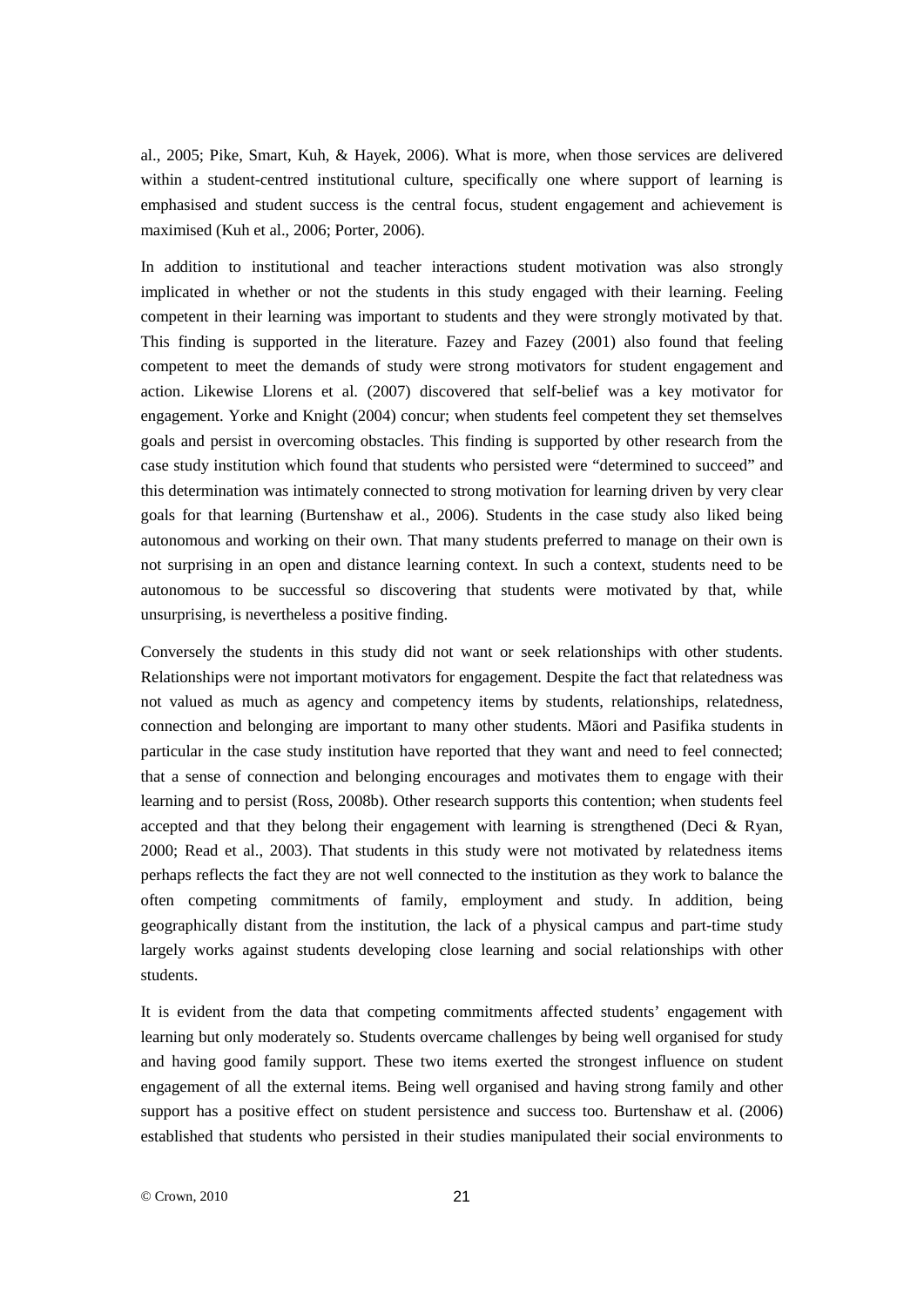al., 2005; Pike, Smart, Kuh, & Hayek, 2006). What is more, when those services are delivered within a student-centred institutional culture, specifically one where support of learning is emphasised and student success is the central focus, student engagement and achievement is maximised (Kuh et al., 2006; Porter, 2006).

In addition to institutional and teacher interactions student motivation was also strongly implicated in whether or not the students in this study engaged with their learning. Feeling competent in their learning was important to students and they were strongly motivated by that. This finding is supported in the literature. Fazey and Fazey (2001) also found that feeling competent to meet the demands of study were strong motivators for student engagement and action. Likewise Llorens et al. (2007) discovered that self-belief was a key motivator for engagement. Yorke and Knight (2004) concur; when students feel competent they set themselves goals and persist in overcoming obstacles. This finding is supported by other research from the case study institution which found that students who persisted were "determined to succeed" and this determination was intimately connected to strong motivation for learning driven by very clear goals for that learning (Burtenshaw et al., 2006). Students in the case study also liked being autonomous and working on their own. That many students preferred to manage on their own is not surprising in an open and distance learning context. In such a context, students need to be autonomous to be successful so discovering that students were motivated by that, while unsurprising, is nevertheless a positive finding.

Conversely the students in this study did not want or seek relationships with other students. Relationships were not important motivators for engagement. Despite the fact that relatedness was not valued as much as agency and competency items by students, relationships, relatedness, connection and belonging are important to many other students. Māori and Pasifika students in particular in the case study institution have reported that they want and need to feel connected; that a sense of connection and belonging encourages and motivates them to engage with their learning and to persist (Ross, 2008b). Other research supports this contention; when students feel accepted and that they belong their engagement with learning is strengthened (Deci  $\&$  Ryan, 2000; Read et al., 2003). That students in this study were not motivated by relatedness items perhaps reflects the fact they are not well connected to the institution as they work to balance the often competing commitments of family, employment and study. In addition, being geographically distant from the institution, the lack of a physical campus and part-time study largely works against students developing close learning and social relationships with other students.

It is evident from the data that competing commitments affected students' engagement with learning but only moderately so. Students overcame challenges by being well organised for study and having good family support. These two items exerted the strongest influence on student engagement of all the external items. Being well organised and having strong family and other support has a positive effect on student persistence and success too. Burtenshaw et al. (2006) established that students who persisted in their studies manipulated their social environments to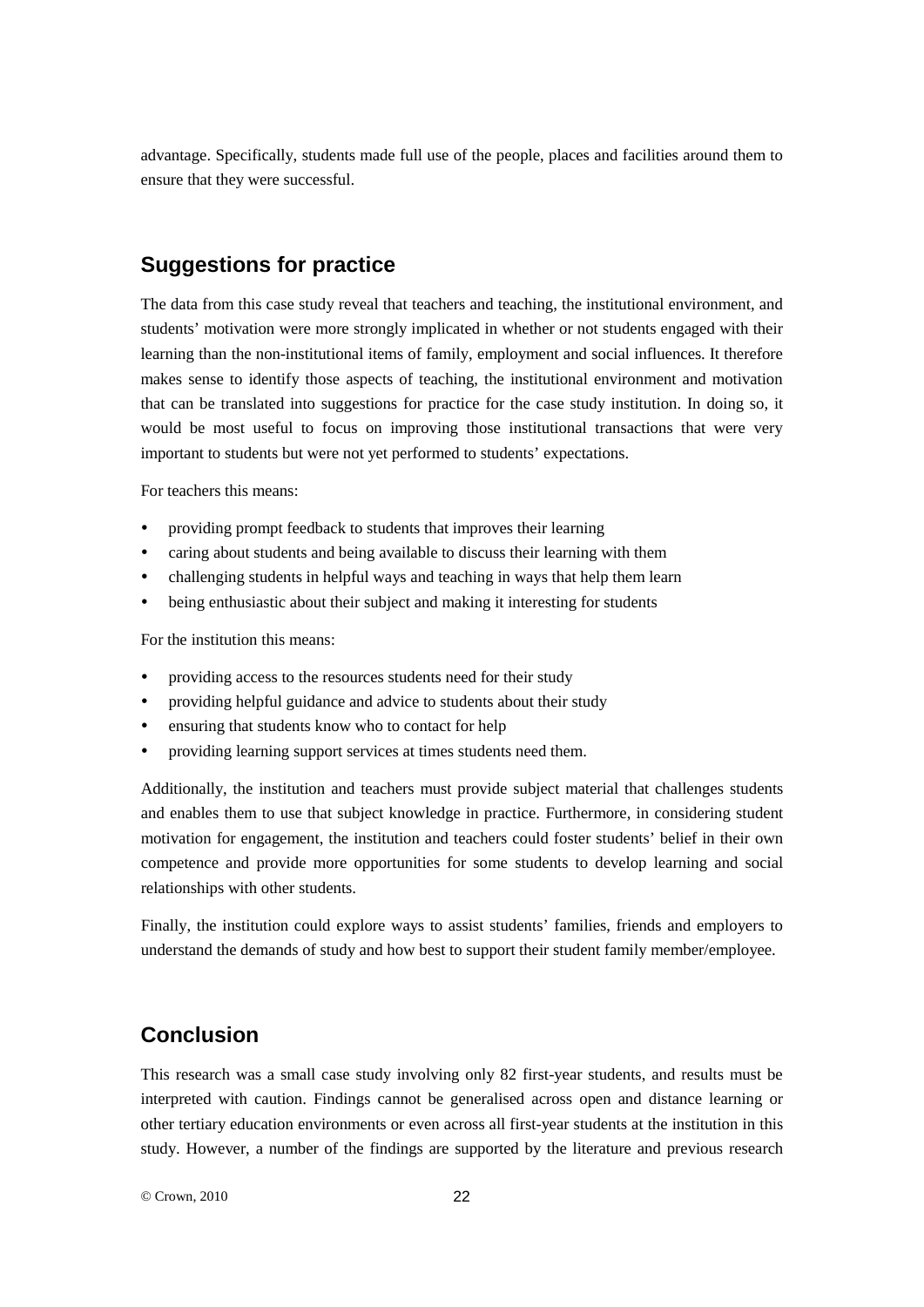advantage. Specifically, students made full use of the people, places and facilities around them to ensure that they were successful.

# **Suggestions for practice**

The data from this case study reveal that teachers and teaching, the institutional environment, and students' motivation were more strongly implicated in whether or not students engaged with their learning than the non-institutional items of family, employment and social influences. It therefore makes sense to identify those aspects of teaching, the institutional environment and motivation that can be translated into suggestions for practice for the case study institution. In doing so, it would be most useful to focus on improving those institutional transactions that were very important to students but were not yet performed to students' expectations.

For teachers this means:

- providing prompt feedback to students that improves their learning
- caring about students and being available to discuss their learning with them
- challenging students in helpful ways and teaching in ways that help them learn
- being enthusiastic about their subject and making it interesting for students

For the institution this means:

- providing access to the resources students need for their study
- providing helpful guidance and advice to students about their study
- ensuring that students know who to contact for help
- providing learning support services at times students need them.

Additionally, the institution and teachers must provide subject material that challenges students and enables them to use that subject knowledge in practice. Furthermore, in considering student motivation for engagement, the institution and teachers could foster students' belief in their own competence and provide more opportunities for some students to develop learning and social relationships with other students.

Finally, the institution could explore ways to assist students' families, friends and employers to understand the demands of study and how best to support their student family member/employee.

# **Conclusion**

This research was a small case study involving only 82 first-year students, and results must be interpreted with caution. Findings cannot be generalised across open and distance learning or other tertiary education environments or even across all first-year students at the institution in this study. However, a number of the findings are supported by the literature and previous research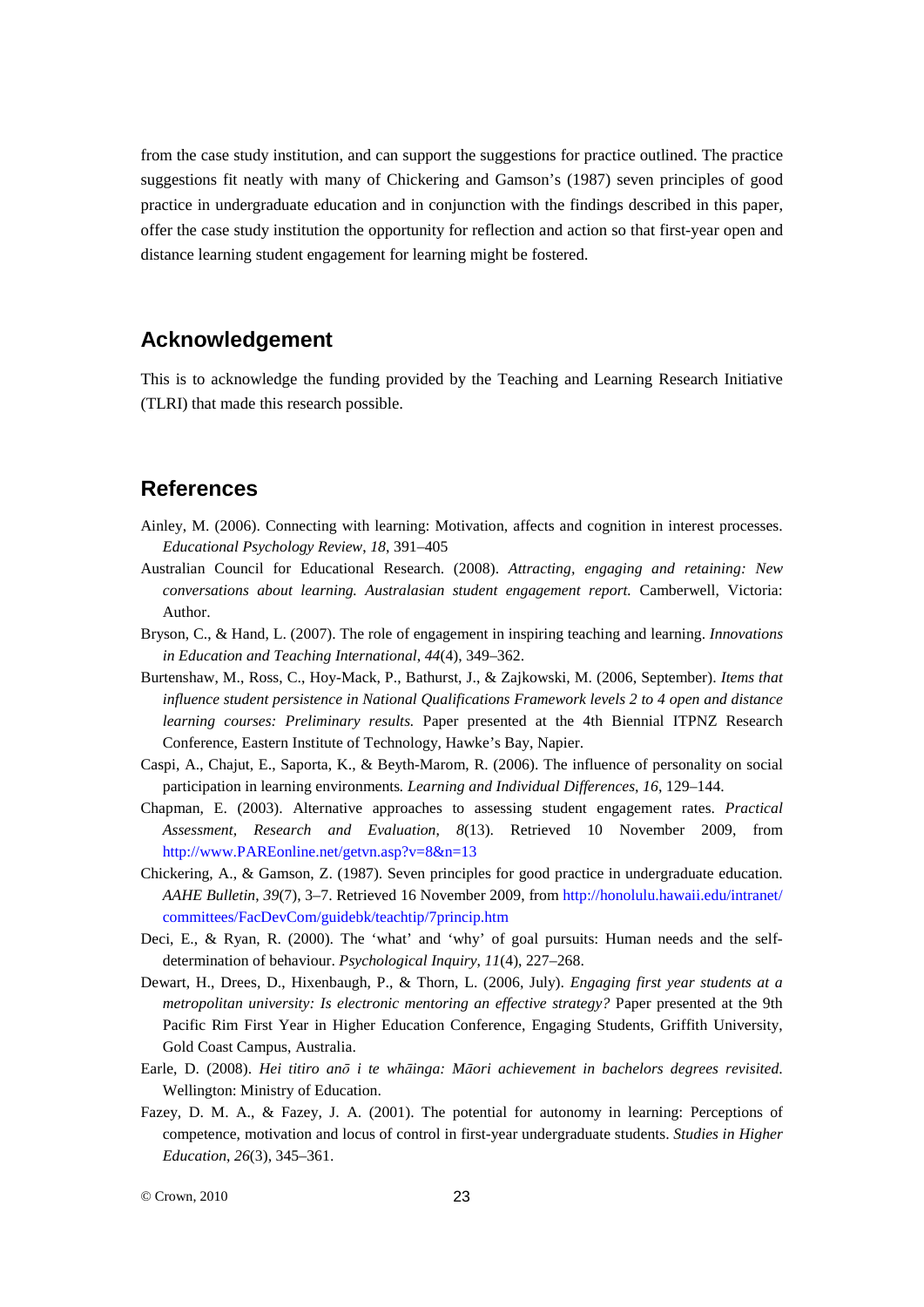from the case study institution, and can support the suggestions for practice outlined. The practice suggestions fit neatly with many of Chickering and Gamson's (1987) seven principles of good practice in undergraduate education and in conjunction with the findings described in this paper, offer the case study institution the opportunity for reflection and action so that first-year open and distance learning student engagement for learning might be fostered.

# **Acknowledgement**

This is to acknowledge the funding provided by the Teaching and Learning Research Initiative (TLRI) that made this research possible.

# **References**

- Ainley, M. (2006). Connecting with learning: Motivation, affects and cognition in interest processes. *Educational Psychology Review*, *18*, 391–405
- Australian Council for Educational Research. (2008). *Attracting, engaging and retaining: New conversations about learning. Australasian student engagement report.* Camberwell, Victoria: Author.
- Bryson, C., & Hand, L. (2007). The role of engagement in inspiring teaching and learning. *Innovations in Education and Teaching International*, *44*(4), 349–362.
- Burtenshaw, M., Ross, C., Hoy-Mack, P., Bathurst, J., & Zajkowski, M. (2006, September). *Items that influence student persistence in National Qualifications Framework levels 2 to 4 open and distance learning courses: Preliminary results.* Paper presented at the 4th Biennial ITPNZ Research Conference, Eastern Institute of Technology, Hawke's Bay, Napier.
- Caspi, A., Chajut, E., Saporta, K., & Beyth-Marom, R. (2006). The influence of personality on social participation in learning environments*. Learning and Individual Differences*, *16*, 129–144.
- Chapman, E. (2003). Alternative approaches to assessing student engagement rates. *Practical Assessment, Research and Evaluation*, *8*(13). Retrieved 10 November 2009, from [http://www.PAREonline.net/getvn.asp?v=8&n=13](http://www.pareonline.net/getvn.asp?v=8&n=13)
- Chickering, A., & Gamson, Z. (1987). Seven principles for good practice in undergraduate education. *AAHE Bulletin*, *39*(7), 3–7. Retrieved 16 November 2009, from [http://honolulu.hawaii.edu/intranet/](http://honolulu.hawaii.edu/intranet/%0bcommittees/FacDevCom/guidebk/teachtip/7princip.htm) [committees/FacDevCom/guidebk/teachtip/7princip.htm](http://honolulu.hawaii.edu/intranet/%0bcommittees/FacDevCom/guidebk/teachtip/7princip.htm)
- Deci, E., & Ryan, R. (2000). The 'what' and 'why' of goal pursuits: Human needs and the selfdetermination of behaviour. *Psychological Inquiry*, *11*(4), 227–268.
- Dewart, H., Drees, D., Hixenbaugh, P., & Thorn, L. (2006, July). *Engaging first year students at a metropolitan university: Is electronic mentoring an effective strategy?* Paper presented at the 9th Pacific Rim First Year in Higher Education Conference, Engaging Students, Griffith University, Gold Coast Campus, Australia.
- Earle, D. (2008). *Hei titiro anō i te whāinga: Māori achievement in bachelors degrees revisited*. Wellington: Ministry of Education.
- Fazey, D. M. A., & Fazey, J. A. (2001). The potential for autonomy in learning: Perceptions of competence, motivation and locus of control in first-year undergraduate students. *Studies in Higher Education*, *26*(3), 345–361.

© Crown, 2010 23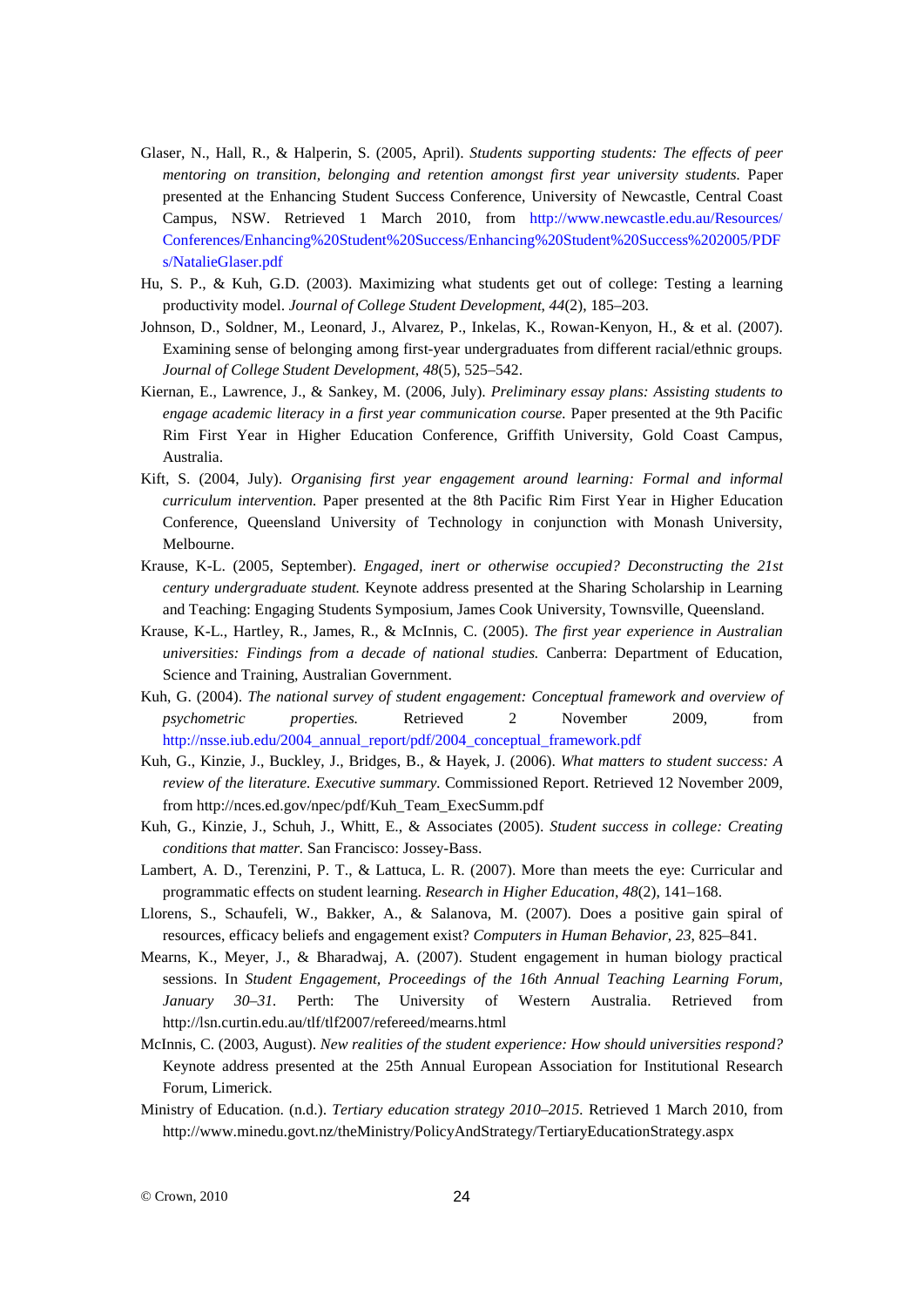- Glaser, N., Hall, R., & Halperin, S. (2005, April). *Students supporting students: The effects of peer mentoring on transition, belonging and retention amongst first year university students.* Paper presented at the Enhancing Student Success Conference, University of Newcastle, Central Coast Campus, NSW. Retrieved 1 March 2010, from [http://www.newcastle.edu.au/Resources/](http://www.newcastle.edu.au/Resources/%0bConferences/Enhancing%20Student%20Success/Enhancing%20Student%20Success%202005/PDFs/NatalieGlaser.pdf) [Conferences/Enhancing%20Student%20Success/Enhancing%20Student%20Success%202005/PDF](http://www.newcastle.edu.au/Resources/%0bConferences/Enhancing%20Student%20Success/Enhancing%20Student%20Success%202005/PDFs/NatalieGlaser.pdf) [s/NatalieGlaser.pdf](http://www.newcastle.edu.au/Resources/%0bConferences/Enhancing%20Student%20Success/Enhancing%20Student%20Success%202005/PDFs/NatalieGlaser.pdf)
- Hu, S. P., & Kuh, G.D. (2003). Maximizing what students get out of college: Testing a learning productivity model. *Journal of College Student Development*, *44*(2), 185–203.
- Johnson, D., Soldner, M., Leonard, J., Alvarez, P., Inkelas, K., Rowan-Kenyon, H., & et al. (2007). Examining sense of belonging among first-year undergraduates from different racial/ethnic groups. *Journal of College Student Development*, *48*(5), 525–542.
- Kiernan, E., Lawrence, J., & Sankey, M. (2006, July). *Preliminary essay plans: Assisting students to engage academic literacy in a first year communication course.* Paper presented at the 9th Pacific Rim First Year in Higher Education Conference, Griffith University, Gold Coast Campus, Australia.
- Kift, S. (2004, July). *Organising first year engagement around learning: Formal and informal curriculum intervention.* Paper presented at the 8th Pacific Rim First Year in Higher Education Conference, Queensland University of Technology in conjunction with Monash University, Melbourne.
- Krause, K-L. (2005, September). *Engaged, inert or otherwise occupied? Deconstructing the 21st century undergraduate student.* Keynote address presented at the Sharing Scholarship in Learning and Teaching: Engaging Students Symposium, James Cook University, Townsville, Queensland.
- Krause, K-L., Hartley, R., James, R., & McInnis, C. (2005). *The first year experience in Australian universities: Findings from a decade of national studies.* Canberra: Department of Education, Science and Training, Australian Government.
- Kuh, G. (2004). *The national survey of student engagement: Conceptual framework and overview of psychometric properties.* Retrieved 2 November 2009, from [http://nsse.iub.edu/2004\\_annual\\_report/pdf/2004\\_conceptual\\_framework.pdf](http://nsse.iub.edu/2004_annual_report/pdf/2004_conceptual_framework.pdf)
- Kuh, G., Kinzie, J., Buckley, J., Bridges, B., & Hayek, J. (2006). *What matters to student success: A review of the literature. Executive summary.* Commissioned Report. Retrieved 12 November 2009, from [http://nces.ed.gov/npec/pdf/Kuh\\_Team\\_ExecSumm.pdf](http://nces.ed.gov/npec/pdf/Kuh_Team_ExecSumm.pdf)
- Kuh, G., Kinzie, J., Schuh, J., Whitt, E., & Associates (2005). *Student success in college: Creating conditions that matter.* San Francisco: Jossey-Bass.
- Lambert, A. D., Terenzini, P. T., & Lattuca, L. R. (2007). More than meets the eye: Curricular and programmatic effects on student learning. *Research in Higher Education*, *48*(2), 141–168.
- Llorens, S., Schaufeli, W., Bakker, A., & Salanova, M. (2007). Does a positive gain spiral of resources, efficacy beliefs and engagement exist? *Computers in Human Behavior*, *23*, 825–841.
- Mearns, K., Meyer, J., & Bharadwaj, A. (2007). Student engagement in human biology practical sessions. In *Student Engagement, Proceedings of the 16th Annual Teaching Learning Forum, January 30–31.* Perth: The University of Western Australia. Retrieved from <http://lsn.curtin.edu.au/tlf/tlf2007/refereed/mearns.html>
- McInnis, C. (2003, August). *New realities of the student experience: How should universities respond?* Keynote address presented at the 25th Annual European Association for Institutional Research Forum, Limerick.
- Ministry of Education. (n.d.). *Tertiary education strategy 2010–2015.* Retrieved 1 March 2010, from <http://www.minedu.govt.nz/theMinistry/PolicyAndStrategy/TertiaryEducationStrategy.aspx>